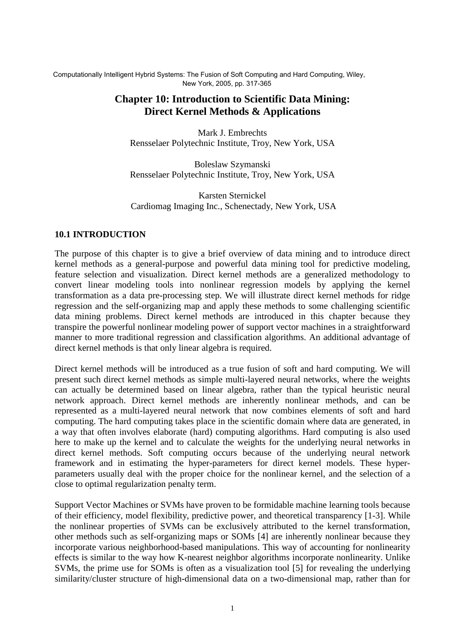Computationally Intelligent Hybrid Systems: The Fusion of Soft Computing and Hard Computing, Wiley, New York, 2005, pp. 317-365

# **Chapter 10: Introduction to Scientific Data Mining: Direct Kernel Methods & Applications**

Mark J. Embrechts Rensselaer Polytechnic Institute, Troy, New York, USA

Boleslaw Szymanski Rensselaer Polytechnic Institute, Troy, New York, USA

Karsten Sternickel Cardiomag Imaging Inc., Schenectady, New York, USA

## **10.1 INTRODUCTION**

The purpose of this chapter is to give a brief overview of data mining and to introduce direct kernel methods as a general-purpose and powerful data mining tool for predictive modeling, feature selection and visualization. Direct kernel methods are a generalized methodology to convert linear modeling tools into nonlinear regression models by applying the kernel transformation as a data pre-processing step. We will illustrate direct kernel methods for ridge regression and the self-organizing map and apply these methods to some challenging scientific data mining problems. Direct kernel methods are introduced in this chapter because they transpire the powerful nonlinear modeling power of support vector machines in a straightforward manner to more traditional regression and classification algorithms. An additional advantage of direct kernel methods is that only linear algebra is required.

Direct kernel methods will be introduced as a true fusion of soft and hard computing. We will present such direct kernel methods as simple multi-layered neural networks, where the weights can actually be determined based on linear algebra, rather than the typical heuristic neural network approach. Direct kernel methods are inherently nonlinear methods, and can be represented as a multi-layered neural network that now combines elements of soft and hard computing. The hard computing takes place in the scientific domain where data are generated, in a way that often involves elaborate (hard) computing algorithms. Hard computing is also used here to make up the kernel and to calculate the weights for the underlying neural networks in direct kernel methods. Soft computing occurs because of the underlying neural network framework and in estimating the hyper-parameters for direct kernel models. These hyperparameters usually deal with the proper choice for the nonlinear kernel, and the selection of a close to optimal regularization penalty term.

Support Vector Machines or SVMs have proven to be formidable machine learning tools because of their efficiency, model flexibility, predictive power, and theoretical transparency [1-3]. While the nonlinear properties of SVMs can be exclusively attributed to the kernel transformation, other methods such as self-organizing maps or SOMs [4] are inherently nonlinear because they incorporate various neighborhood-based manipulations. This way of accounting for nonlinearity effects is similar to the way how K-nearest neighbor algorithms incorporate nonlinearity. Unlike SVMs, the prime use for SOMs is often as a visualization tool [5] for revealing the underlying similarity/cluster structure of high-dimensional data on a two-dimensional map, rather than for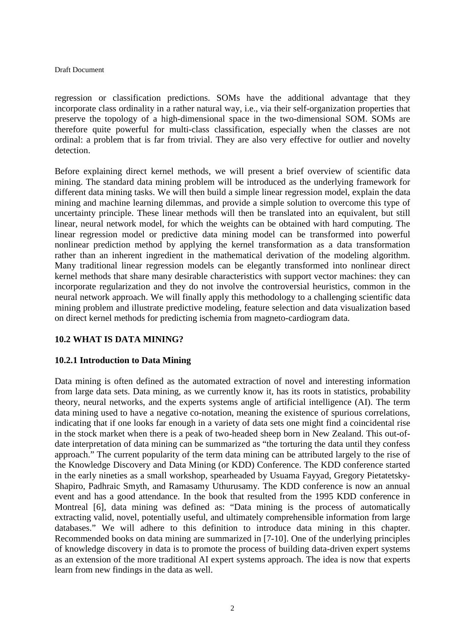regression or classification predictions. SOMs have the additional advantage that they incorporate class ordinality in a rather natural way, i.e., via their self-organization properties that preserve the topology of a high-dimensional space in the two-dimensional SOM. SOMs are therefore quite powerful for multi-class classification, especially when the classes are not ordinal: a problem that is far from trivial. They are also very effective for outlier and novelty detection.

Before explaining direct kernel methods, we will present a brief overview of scientific data mining. The standard data mining problem will be introduced as the underlying framework for different data mining tasks. We will then build a simple linear regression model, explain the data mining and machine learning dilemmas, and provide a simple solution to overcome this type of uncertainty principle. These linear methods will then be translated into an equivalent, but still linear, neural network model, for which the weights can be obtained with hard computing. The linear regression model or predictive data mining model can be transformed into powerful nonlinear prediction method by applying the kernel transformation as a data transformation rather than an inherent ingredient in the mathematical derivation of the modeling algorithm. Many traditional linear regression models can be elegantly transformed into nonlinear direct kernel methods that share many desirable characteristics with support vector machines: they can incorporate regularization and they do not involve the controversial heuristics, common in the neural network approach. We will finally apply this methodology to a challenging scientific data mining problem and illustrate predictive modeling, feature selection and data visualization based on direct kernel methods for predicting ischemia from magneto-cardiogram data.

# **10.2 WHAT IS DATA MINING?**

## **10.2.1 Introduction to Data Mining**

Data mining is often defined as the automated extraction of novel and interesting information from large data sets. Data mining, as we currently know it, has its roots in statistics, probability theory, neural networks, and the experts systems angle of artificial intelligence (AI). The term data mining used to have a negative co-notation, meaning the existence of spurious correlations, indicating that if one looks far enough in a variety of data sets one might find a coincidental rise in the stock market when there is a peak of two-headed sheep born in New Zealand. This out-ofdate interpretation of data mining can be summarized as "the torturing the data until they confess approach." The current popularity of the term data mining can be attributed largely to the rise of the Knowledge Discovery and Data Mining (or KDD) Conference. The KDD conference started in the early nineties as a small workshop, spearheaded by Usuama Fayyad, Gregory Pietatetsky-Shapiro, Padhraic Smyth, and Ramasamy Uthurusamy. The KDD conference is now an annual event and has a good attendance. In the book that resulted from the 1995 KDD conference in Montreal [6], data mining was defined as: "Data mining is the process of automatically extracting valid, novel, potentially useful, and ultimately comprehensible information from large databases." We will adhere to this definition to introduce data mining in this chapter. Recommended books on data mining are summarized in [7-10]. One of the underlying principles of knowledge discovery in data is to promote the process of building data-driven expert systems as an extension of the more traditional AI expert systems approach. The idea is now that experts learn from new findings in the data as well.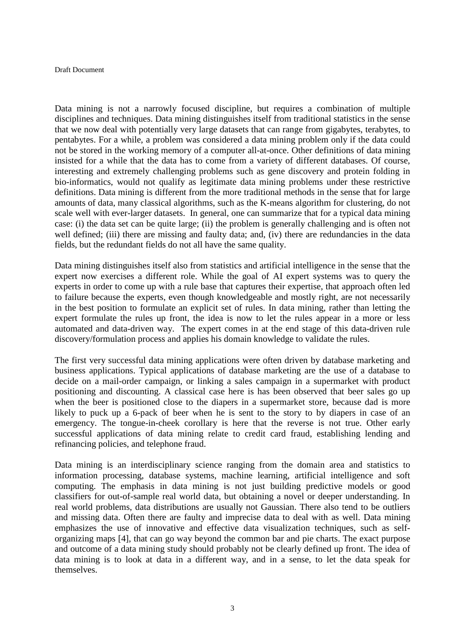Data mining is not a narrowly focused discipline, but requires a combination of multiple disciplines and techniques. Data mining distinguishes itself from traditional statistics in the sense that we now deal with potentially very large datasets that can range from gigabytes, terabytes, to pentabytes. For a while, a problem was considered a data mining problem only if the data could not be stored in the working memory of a computer all-at-once. Other definitions of data mining insisted for a while that the data has to come from a variety of different databases. Of course, interesting and extremely challenging problems such as gene discovery and protein folding in bio-informatics, would not qualify as legitimate data mining problems under these restrictive definitions. Data mining is different from the more traditional methods in the sense that for large amounts of data, many classical algorithms, such as the K-means algorithm for clustering, do not scale well with ever-larger datasets. In general, one can summarize that for a typical data mining case: (i) the data set can be quite large; (ii) the problem is generally challenging and is often not well defined; (iii) there are missing and faulty data; and, (iv) there are redundancies in the data fields, but the redundant fields do not all have the same quality.

Data mining distinguishes itself also from statistics and artificial intelligence in the sense that the expert now exercises a different role. While the goal of AI expert systems was to query the experts in order to come up with a rule base that captures their expertise, that approach often led to failure because the experts, even though knowledgeable and mostly right, are not necessarily in the best position to formulate an explicit set of rules. In data mining, rather than letting the expert formulate the rules up front, the idea is now to let the rules appear in a more or less automated and data-driven way. The expert comes in at the end stage of this data-driven rule discovery/formulation process and applies his domain knowledge to validate the rules.

The first very successful data mining applications were often driven by database marketing and business applications. Typical applications of database marketing are the use of a database to decide on a mail-order campaign, or linking a sales campaign in a supermarket with product positioning and discounting. A classical case here is has been observed that beer sales go up when the beer is positioned close to the diapers in a supermarket store, because dad is more likely to puck up a 6-pack of beer when he is sent to the story to by diapers in case of an emergency. The tongue-in-cheek corollary is here that the reverse is not true. Other early successful applications of data mining relate to credit card fraud, establishing lending and refinancing policies, and telephone fraud.

Data mining is an interdisciplinary science ranging from the domain area and statistics to information processing, database systems, machine learning, artificial intelligence and soft computing. The emphasis in data mining is not just building predictive models or good classifiers for out-of-sample real world data, but obtaining a novel or deeper understanding. In real world problems, data distributions are usually not Gaussian. There also tend to be outliers and missing data. Often there are faulty and imprecise data to deal with as well. Data mining emphasizes the use of innovative and effective data visualization techniques, such as selforganizing maps [4], that can go way beyond the common bar and pie charts. The exact purpose and outcome of a data mining study should probably not be clearly defined up front. The idea of data mining is to look at data in a different way, and in a sense, to let the data speak for themselves.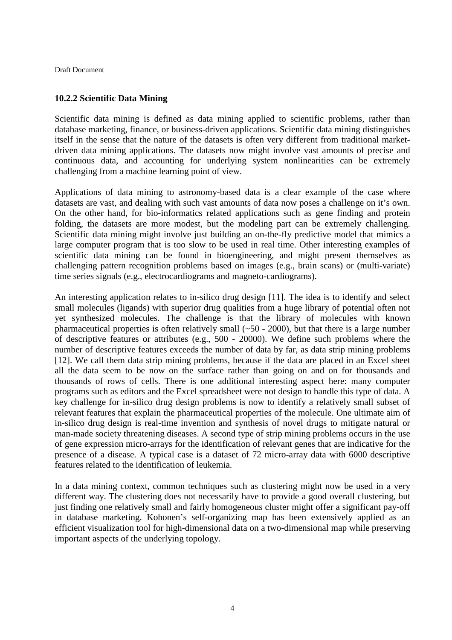## **10.2.2 Scientific Data Mining**

Scientific data mining is defined as data mining applied to scientific problems, rather than database marketing, finance, or business-driven applications. Scientific data mining distinguishes itself in the sense that the nature of the datasets is often very different from traditional marketdriven data mining applications. The datasets now might involve vast amounts of precise and continuous data, and accounting for underlying system nonlinearities can be extremely challenging from a machine learning point of view.

Applications of data mining to astronomy-based data is a clear example of the case where datasets are vast, and dealing with such vast amounts of data now poses a challenge on it's own. On the other hand, for bio-informatics related applications such as gene finding and protein folding, the datasets are more modest, but the modeling part can be extremely challenging. Scientific data mining might involve just building an on-the-fly predictive model that mimics a large computer program that is too slow to be used in real time. Other interesting examples of scientific data mining can be found in bioengineering, and might present themselves as challenging pattern recognition problems based on images (e.g., brain scans) or (multi-variate) time series signals (e.g., electrocardiograms and magneto-cardiograms).

An interesting application relates to in-silico drug design [11]. The idea is to identify and select small molecules (ligands) with superior drug qualities from a huge library of potential often not yet synthesized molecules. The challenge is that the library of molecules with known pharmaceutical properties is often relatively small  $(-50 - 2000)$ , but that there is a large number of descriptive features or attributes (e.g., 500 - 20000). We define such problems where the number of descriptive features exceeds the number of data by far, as data strip mining problems [12]. We call them data strip mining problems, because if the data are placed in an Excel sheet all the data seem to be now on the surface rather than going on and on for thousands and thousands of rows of cells. There is one additional interesting aspect here: many computer programs such as editors and the Excel spreadsheet were not design to handle this type of data. A key challenge for in-silico drug design problems is now to identify a relatively small subset of relevant features that explain the pharmaceutical properties of the molecule. One ultimate aim of in-silico drug design is real-time invention and synthesis of novel drugs to mitigate natural or man-made society threatening diseases. A second type of strip mining problems occurs in the use of gene expression micro-arrays for the identification of relevant genes that are indicative for the presence of a disease. A typical case is a dataset of 72 micro-array data with 6000 descriptive features related to the identification of leukemia.

In a data mining context, common techniques such as clustering might now be used in a very different way. The clustering does not necessarily have to provide a good overall clustering, but just finding one relatively small and fairly homogeneous cluster might offer a significant pay-off in database marketing. Kohonen's self-organizing map has been extensively applied as an efficient visualization tool for high-dimensional data on a two-dimensional map while preserving important aspects of the underlying topology.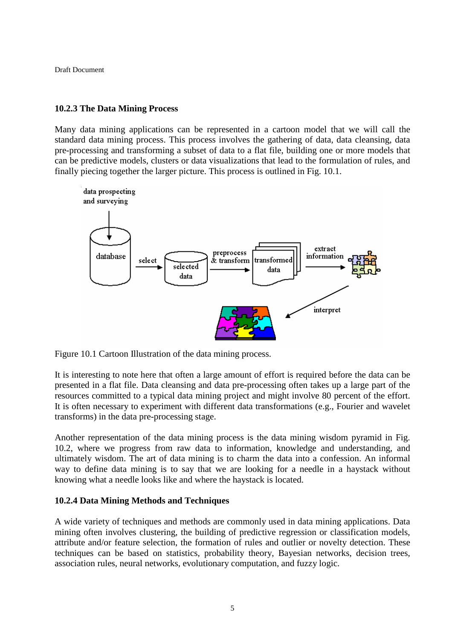# **10.2.3 The Data Mining Process**

Many data mining applications can be represented in a cartoon model that we will call the standard data mining process. This process involves the gathering of data, data cleansing, data pre-processing and transforming a subset of data to a flat file, building one or more models that can be predictive models, clusters or data visualizations that lead to the formulation of rules, and finally piecing together the larger picture. This process is outlined in Fig. 10.1.



Figure 10.1 Cartoon Illustration of the data mining process.

It is interesting to note here that often a large amount of effort is required before the data can be presented in a flat file. Data cleansing and data pre-processing often takes up a large part of the resources committed to a typical data mining project and might involve 80 percent of the effort. It is often necessary to experiment with different data transformations (e.g., Fourier and wavelet transforms) in the data pre-processing stage.

Another representation of the data mining process is the data mining wisdom pyramid in Fig. 10.2, where we progress from raw data to information, knowledge and understanding, and ultimately wisdom. The art of data mining is to charm the data into a confession. An informal way to define data mining is to say that we are looking for a needle in a haystack without knowing what a needle looks like and where the haystack is located.

# **10.2.4 Data Mining Methods and Techniques**

A wide variety of techniques and methods are commonly used in data mining applications. Data mining often involves clustering, the building of predictive regression or classification models, attribute and/or feature selection, the formation of rules and outlier or novelty detection. These techniques can be based on statistics, probability theory, Bayesian networks, decision trees, association rules, neural networks, evolutionary computation, and fuzzy logic.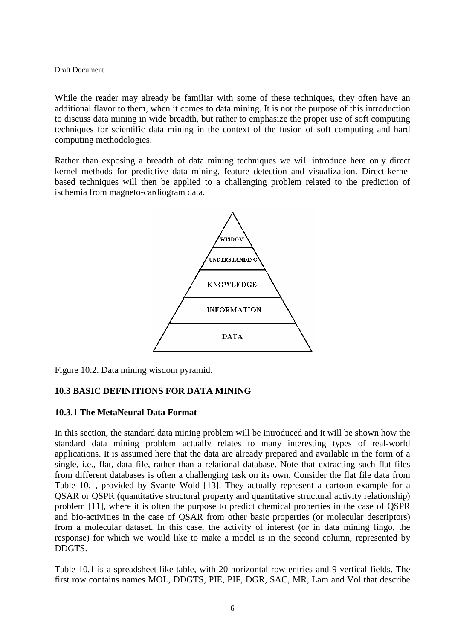While the reader may already be familiar with some of these techniques, they often have an additional flavor to them, when it comes to data mining. It is not the purpose of this introduction to discuss data mining in wide breadth, but rather to emphasize the proper use of soft computing techniques for scientific data mining in the context of the fusion of soft computing and hard computing methodologies.

Rather than exposing a breadth of data mining techniques we will introduce here only direct kernel methods for predictive data mining, feature detection and visualization. Direct-kernel based techniques will then be applied to a challenging problem related to the prediction of ischemia from magneto-cardiogram data.



Figure 10.2. Data mining wisdom pyramid.

# **10.3 BASIC DEFINITIONS FOR DATA MINING**

## **10.3.1 The MetaNeural Data Format**

In this section, the standard data mining problem will be introduced and it will be shown how the standard data mining problem actually relates to many interesting types of real-world applications. It is assumed here that the data are already prepared and available in the form of a single, i.e., flat, data file, rather than a relational database. Note that extracting such flat files from different databases is often a challenging task on its own. Consider the flat file data from Table 10.1, provided by Svante Wold [13]. They actually represent a cartoon example for a QSAR or QSPR (quantitative structural property and quantitative structural activity relationship) problem [11], where it is often the purpose to predict chemical properties in the case of QSPR and bio-activities in the case of QSAR from other basic properties (or molecular descriptors) from a molecular dataset. In this case, the activity of interest (or in data mining lingo, the response) for which we would like to make a model is in the second column, represented by DDGTS.

Table 10.1 is a spreadsheet-like table, with 20 horizontal row entries and 9 vertical fields. The first row contains names MOL, DDGTS, PIE, PIF, DGR, SAC, MR, Lam and Vol that describe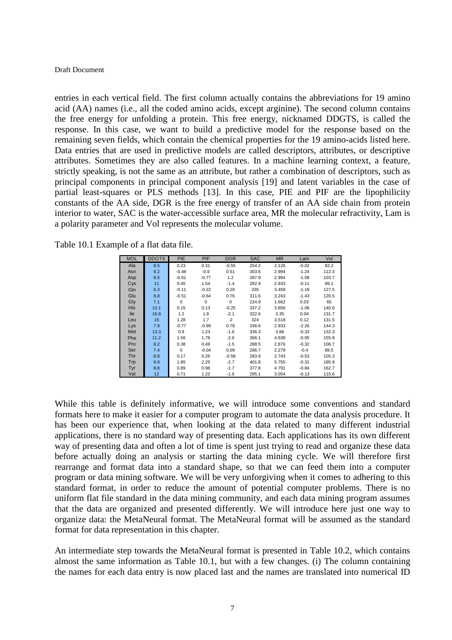entries in each vertical field. The first column actually contains the abbreviations for 19 amino acid (AA) names (i.e., all the coded amino acids, except arginine). The second column contains the free energy for unfolding a protein. This free energy, nicknamed DDGTS, is called the response. In this case, we want to build a predictive model for the response based on the remaining seven fields, which contain the chemical properties for the 19 amino-acids listed here. Data entries that are used in predictive models are called descriptors, attributes, or descriptive attributes. Sometimes they are also called features. In a machine learning context, a feature, strictly speaking, is not the same as an attribute, but rather a combination of descriptors, such as principal components in principal component analysis [19] and latent variables in the case of partial least-squares or PLS methods [13]. In this case, PIE and PIF are the lipophilicity constants of the AA side, DGR is the free energy of transfer of an AA side chain from protein interior to water, SAC is the water-accessible surface area, MR the molecular refractivity, Lam is a polarity parameter and Vol represents the molecular volume.

| <b>MOL</b> | <b>DDGTS</b> | PIE         | PIF      | <b>DGR</b> | <b>SAC</b> | <b>MR</b> | Lam     | Vol   |
|------------|--------------|-------------|----------|------------|------------|-----------|---------|-------|
| Ala        | 8.5          | 0.23        | 0.31     | $-0.55$    | 254.2      | 2.126     | $-0.02$ | 82.2  |
| Asn        | 8.2          | $-0.48$     | $-0.6$   | 0.51       | 303.6      | 2.994     | $-1.24$ | 112.3 |
| Asp        | 8.5          | $-0.61$     | $-0.77$  | 1.2        | 287.9      | 2.994     | $-1.08$ | 103.7 |
| Cys        | 11           | 0.45        | 1.54     | $-1.4$     | 282.9      | 2.933     | $-0.11$ | 99.1  |
| Gln        | 6.3          | $-0.11$     | $-0.22$  | 0.29       | 335        | 3.458     | $-1.19$ | 127.5 |
| Glu        | 8.8          | $-0.51$     | $-0.64$  | 0.76       | 311.6      | 3.243     | $-1.43$ | 120.5 |
| Gly        | 7.1          | 0           | $\Omega$ | $\Omega$   | 224.9      | 1.662     | 0.03    | 65    |
| His        | 10.1         | 0.15        | 0.13     | $-0.25$    | 337.2      | 3.856     | $-1.06$ | 140.6 |
| <b>Ile</b> | 16.8         | 1.2         | 1.8      | $-2.1$     | 322.6      | 3.35      | 0.04    | 131.7 |
| Leu        | 15           | 1.28        | 1.7      | $-2$       | 324        | 3.518     | 0.12    | 131.5 |
| Lys        | 7.9          | $-0.77$     | $-0.99$  | 0.78       | 336.6      | 2.933     | $-2.26$ | 144.3 |
| Met        | 13.3         | 0.9         | 1.23     | $-1.6$     | 336.3      | 3.86      | $-0.33$ | 132.3 |
| Phe        | 11.2         | 1.56        | 1.79     | $-2.6$     | 366.1      | 4.638     | $-0.05$ | 155.8 |
| Pro        | 8.2          | 0.38        | 0.49     | $-1.5$     | 288.5      | 2.876     | $-0.32$ | 106.7 |
| Ser        | 7.4          | $\mathbf 0$ | $-0.04$  | 0.09       | 266.7      | 2.279     | $-0.4$  | 88.5  |
| <b>Thr</b> | 8.8          | 0.17        | 0.26     | $-0.58$    | 283.9      | 2.743     | $-0.53$ | 105.3 |
| Trp        | 9.9          | 1.85        | 2.25     | $-2.7$     | 401.8      | 5.755     | $-0.31$ | 185.9 |
| Tyr        | 8.8          | 0.89        | 0.96     | $-1.7$     | 377.8      | 4.791     | $-0.84$ | 162.7 |
| Val        | 12           | 0.71        | 1.22     | $-1.6$     | 295.1      | 3.054     | $-0.13$ | 115.6 |

Table 10.1 Example of a flat data file.

While this table is definitely informative, we will introduce some conventions and standard formats here to make it easier for a computer program to automate the data analysis procedure. It has been our experience that, when looking at the data related to many different industrial applications, there is no standard way of presenting data. Each applications has its own different way of presenting data and often a lot of time is spent just trying to read and organize these data before actually doing an analysis or starting the data mining cycle. We will therefore first rearrange and format data into a standard shape, so that we can feed them into a computer program or data mining software. We will be very unforgiving when it comes to adhering to this standard format, in order to reduce the amount of potential computer problems. There is no uniform flat file standard in the data mining community, and each data mining program assumes that the data are organized and presented differently. We will introduce here just one way to organize data: the MetaNeural format. The MetaNeural format will be assumed as the standard format for data representation in this chapter.

An intermediate step towards the MetaNeural format is presented in Table 10.2, which contains almost the same information as Table 10.1, but with a few changes. (i) The column containing the names for each data entry is now placed last and the names are translated into numerical ID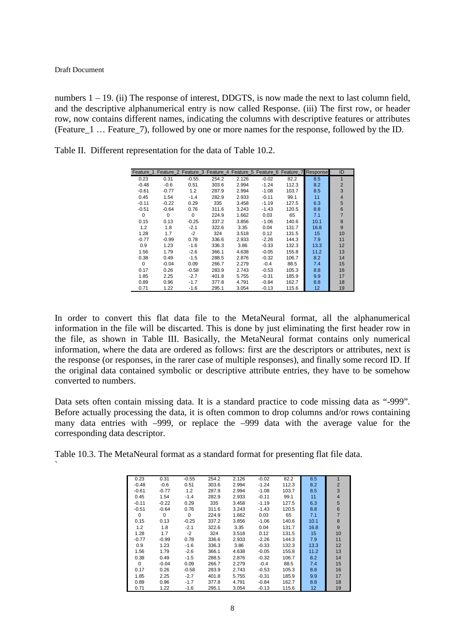`

numbers  $1 - 19$ . (ii) The response of interest, DDGTS, is now made the next to last column field, and the descriptive alphanumerical entry is now called Response. (iii) The first row, or header row, now contains different names, indicating the columns with descriptive features or attributes (Feature\_1 … Feature\_7), followed by one or more names for the response, followed by the ID.

| Feature<br>4 |          |          |       |       | Feature 2 Feature 3 Feature 4 Feature 5 Feature 6 Feature 7 Response |       |      | ID             |
|--------------|----------|----------|-------|-------|----------------------------------------------------------------------|-------|------|----------------|
| 0.23         | 0.31     | $-0.55$  | 254.2 | 2.126 | $-0.02$                                                              | 82.2  | 8.5  | 1              |
| $-0.48$      | $-0.6$   | 0.51     | 303.6 | 2.994 | $-1.24$                                                              | 112.3 | 8.2  | $\overline{2}$ |
| $-0.61$      | $-0.77$  | 1.2      | 287.9 | 2.994 | $-1.08$                                                              | 103.7 | 8.5  | 3              |
| 0.45         | 1.54     | $-1.4$   | 282.9 | 2.933 | $-0.11$                                                              | 99.1  | 11   | $\overline{4}$ |
| $-0.11$      | $-0.22$  | 0.29     | 335   | 3.458 | $-1.19$                                                              | 127.5 | 6.3  | 5              |
| $-0.51$      | $-0.64$  | 0.76     | 311.6 | 3.243 | $-1.43$                                                              | 120.5 | 8.8  | 6              |
| 0            | $\Omega$ | $\Omega$ | 224.9 | 1.662 | 0.03                                                                 | 65    | 7.1  | $\overline{7}$ |
| 0.15         | 0.13     | $-0.25$  | 337.2 | 3.856 | $-1.06$                                                              | 140.6 | 10.1 | 8              |
| 1.2          | 1.8      | $-2.1$   | 322.6 | 3.35  | 0.04                                                                 | 131.7 | 16.8 | 9              |
| 1.28         | 1.7      | $-2$     | 324   | 3.518 | 0.12                                                                 | 131.5 | 15   | 10             |
| $-0.77$      | $-0.99$  | 0.78     | 336.6 | 2.933 | $-2.26$                                                              | 144.3 | 7.9  | 11             |
| 0.9          | 1.23     | $-1.6$   | 336.3 | 3.86  | $-0.33$                                                              | 132.3 | 13.3 | 12             |
| 1.56         | 1.79     | $-2.6$   | 366.1 | 4.638 | $-0.05$                                                              | 155.8 | 11.2 | 13             |
| 0.38         | 0.49     | $-1.5$   | 288.5 | 2.876 | $-0.32$                                                              | 106.7 | 8.2  | 14             |
| 0            | $-0.04$  | 0.09     | 266.7 | 2.279 | $-0.4$                                                               | 88.5  | 7.4  | 15             |
| 0.17         | 0.26     | $-0.58$  | 283.9 | 2.743 | $-0.53$                                                              | 105.3 | 8.8  | 16             |
| 1.85         | 2.25     | $-2.7$   | 401.8 | 5.755 | $-0.31$                                                              | 185.9 | 9.9  | 17             |
| 0.89         | 0.96     | $-1.7$   | 377.8 | 4.791 | $-0.84$                                                              | 162.7 | 8.8  | 18             |
| 0.71         | 1.22     | $-1.6$   | 295.1 | 3.054 | $-0.13$                                                              | 115.6 | 12   | 19             |

Table II. Different representation for the data of Table 10.2.

In order to convert this flat data file to the MetaNeural format, all the alphanumerical information in the file will be discarted. This is done by just eliminating the first header row in the file, as shown in Table III. Basically, the MetaNeural format contains only numerical information, where the data are ordered as follows: first are the descriptors or attributes, next is the response (or responses, in the rarer case of multiple responses), and finally some record ID. If the original data contained symbolic or descriptive attribute entries, they have to be somehow converted to numbers.

Data sets often contain missing data. It is a standard practice to code missing data as "-999". Before actually processing the data, it is often common to drop columns and/or rows containing many data entries with –999, or replace the –999 data with the average value for the corresponding data descriptor.

Table 10.3. The MetaNeural format as a standard format for presenting flat file data.

| 0.23    | 0.31    | $-0.55$  | 254.2 | 2.126 | $-0.02$ | 82.2  | 8.5  |                |
|---------|---------|----------|-------|-------|---------|-------|------|----------------|
| $-0.48$ | $-0.6$  | 0.51     | 303.6 | 2.994 | $-1.24$ | 112.3 | 8.2  | $\overline{2}$ |
| $-0.61$ | $-0.77$ | 1.2      | 287.9 | 2.994 | $-1.08$ | 103.7 | 8.5  | 3              |
| 0.45    | 1.54    | $-1.4$   | 282.9 | 2.933 | $-0.11$ | 99.1  | 11   | $\overline{4}$ |
| $-0.11$ | $-0.22$ | 0.29     | 335   | 3.458 | $-1.19$ | 127.5 | 6.3  | 5              |
| $-0.51$ | $-0.64$ | 0.76     | 311.6 | 3.243 | $-1.43$ | 120.5 | 8.8  | 6              |
| 0       | 0       | $\Omega$ | 224.9 | 1.662 | 0.03    | 65    | 7.1  | 7              |
| 0.15    | 0.13    | $-0.25$  | 337.2 | 3.856 | $-1.06$ | 140.6 | 10.1 | 8              |
| 1.2     | 1.8     | $-2.1$   | 322.6 | 3.35  | 0.04    | 131.7 | 16.8 | 9              |
| 1.28    | 1.7     | $-2$     | 324   | 3.518 | 0.12    | 131.5 | 15   | 10             |
| $-0.77$ | $-0.99$ | 0.78     | 336.6 | 2.933 | $-2.26$ | 144.3 | 7.9  | 11             |
| 0.9     | 1.23    | $-1.6$   | 336.3 | 3.86  | $-0.33$ | 132.3 | 13.3 | 12             |
| 1.56    | 1.79    | $-2.6$   | 366.1 | 4.638 | $-0.05$ | 155.8 | 11.2 | 13             |
| 0.38    | 0.49    | $-1.5$   | 288.5 | 2.876 | $-0.32$ | 106.7 | 8.2  | 14             |
| 0       | $-0.04$ | 0.09     | 266.7 | 2.279 | $-0.4$  | 88.5  | 7.4  | 15             |
| 0.17    | 0.26    | $-0.58$  | 283.9 | 2.743 | $-0.53$ | 105.3 | 8.8  | 16             |
| 1.85    | 2.25    | $-2.7$   | 401.8 | 5.755 | $-0.31$ | 185.9 | 9.9  | 17             |
| 0.89    | 0.96    | $-1.7$   | 377.8 | 4.791 | $-0.84$ | 162.7 | 8.8  | 18             |
| 0.71    | 1.22    | $-1.6$   | 295.1 | 3.054 | $-0.13$ | 115.6 | 12   | 19             |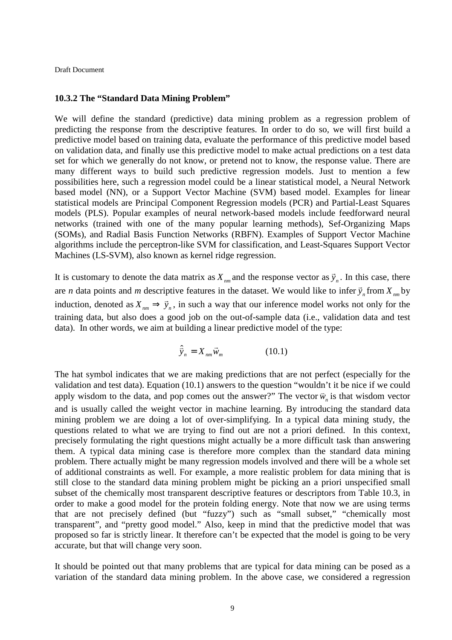### **10.3.2 The "Standard Data Mining Problem"**

We will define the standard (predictive) data mining problem as a regression problem of predicting the response from the descriptive features. In order to do so, we will first build a predictive model based on training data, evaluate the performance of this predictive model based on validation data, and finally use this predictive model to make actual predictions on a test data set for which we generally do not know, or pretend not to know, the response value. There are many different ways to build such predictive regression models. Just to mention a few possibilities here, such a regression model could be a linear statistical model, a Neural Network based model (NN), or a Support Vector Machine (SVM) based model. Examples for linear statistical models are Principal Component Regression models (PCR) and Partial-Least Squares models (PLS). Popular examples of neural network-based models include feedforward neural networks (trained with one of the many popular learning methods), Sef-Organizing Maps (SOMs), and Radial Basis Function Networks (RBFN). Examples of Support Vector Machine algorithms include the perceptron-like SVM for classification, and Least-Squares Support Vector Machines (LS-SVM), also known as kernel ridge regression.

It is customary to denote the data matrix as  $X_{nm}$  and the response vector as  $\vec{y}_n$ . In this case, there are *n* data points and *m* descriptive features in the dataset. We would like to infer  $\vec{y}_n$  from  $X_{nm}$  by induction, denoted as  $X_{nm} \Rightarrow \vec{y}_n$ , in such a way that our inference model works not only for the training data, but also does a good job on the out-of-sample data (i.e., validation data and test data). In other words, we aim at building a linear predictive model of the type:

$$
\hat{\vec{y}}_n = X_{nm}\vec{w}_m \tag{10.1}
$$

The hat symbol indicates that we are making predictions that are not perfect (especially for the validation and test data). Equation (10.1) answers to the question "wouldn't it be nice if we could apply wisdom to the data, and pop comes out the answer?" The vector  $\vec{w}_n$  is that wisdom vector and is usually called the weight vector in machine learning. By introducing the standard data mining problem we are doing a lot of over-simplifying. In a typical data mining study, the questions related to what we are trying to find out are not a priori defined. In this context, precisely formulating the right questions might actually be a more difficult task than answering them. A typical data mining case is therefore more complex than the standard data mining problem. There actually might be many regression models involved and there will be a whole set of additional constraints as well. For example, a more realistic problem for data mining that is still close to the standard data mining problem might be picking an a priori unspecified small subset of the chemically most transparent descriptive features or descriptors from Table 10.3, in order to make a good model for the protein folding energy. Note that now we are using terms that are not precisely defined (but "fuzzy") such as "small subset," "chemically most transparent", and "pretty good model." Also, keep in mind that the predictive model that was proposed so far is strictly linear. It therefore can't be expected that the model is going to be very accurate, but that will change very soon.

It should be pointed out that many problems that are typical for data mining can be posed as a variation of the standard data mining problem. In the above case, we considered a regression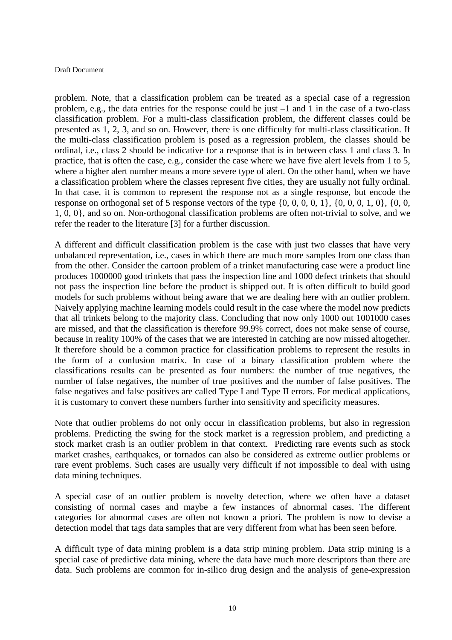problem. Note, that a classification problem can be treated as a special case of a regression problem, e.g., the data entries for the response could be just –1 and 1 in the case of a two-class classification problem. For a multi-class classification problem, the different classes could be presented as 1, 2, 3, and so on. However, there is one difficulty for multi-class classification. If the multi-class classification problem is posed as a regression problem, the classes should be ordinal, i.e., class 2 should be indicative for a response that is in between class 1 and class 3. In practice, that is often the case, e.g., consider the case where we have five alert levels from 1 to 5, where a higher alert number means a more severe type of alert. On the other hand, when we have a classification problem where the classes represent five cities, they are usually not fully ordinal. In that case, it is common to represent the response not as a single response, but encode the response on orthogonal set of 5 response vectors of the type  $\{0, 0, 0, 0, 1\}$ ,  $\{0, 0, 0, 1, 0\}$ ,  $\{0, 0, 0, 1, 0\}$ 1, 0, 0}, and so on. Non-orthogonal classification problems are often not-trivial to solve, and we refer the reader to the literature [3] for a further discussion.

A different and difficult classification problem is the case with just two classes that have very unbalanced representation, i.e., cases in which there are much more samples from one class than from the other. Consider the cartoon problem of a trinket manufacturing case were a product line produces 1000000 good trinkets that pass the inspection line and 1000 defect trinkets that should not pass the inspection line before the product is shipped out. It is often difficult to build good models for such problems without being aware that we are dealing here with an outlier problem. Naively applying machine learning models could result in the case where the model now predicts that all trinkets belong to the majority class. Concluding that now only 1000 out 1001000 cases are missed, and that the classification is therefore 99.9% correct, does not make sense of course, because in reality 100% of the cases that we are interested in catching are now missed altogether. It therefore should be a common practice for classification problems to represent the results in the form of a confusion matrix. In case of a binary classification problem where the classifications results can be presented as four numbers: the number of true negatives, the number of false negatives, the number of true positives and the number of false positives. The false negatives and false positives are called Type I and Type II errors. For medical applications, it is customary to convert these numbers further into sensitivity and specificity measures.

Note that outlier problems do not only occur in classification problems, but also in regression problems. Predicting the swing for the stock market is a regression problem, and predicting a stock market crash is an outlier problem in that context. Predicting rare events such as stock market crashes, earthquakes, or tornados can also be considered as extreme outlier problems or rare event problems. Such cases are usually very difficult if not impossible to deal with using data mining techniques.

A special case of an outlier problem is novelty detection, where we often have a dataset consisting of normal cases and maybe a few instances of abnormal cases. The different categories for abnormal cases are often not known a priori. The problem is now to devise a detection model that tags data samples that are very different from what has been seen before.

A difficult type of data mining problem is a data strip mining problem. Data strip mining is a special case of predictive data mining, where the data have much more descriptors than there are data. Such problems are common for in-silico drug design and the analysis of gene-expression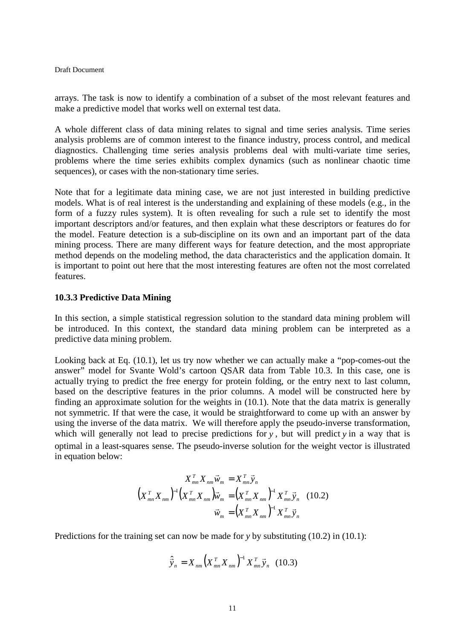arrays. The task is now to identify a combination of a subset of the most relevant features and make a predictive model that works well on external test data.

A whole different class of data mining relates to signal and time series analysis. Time series analysis problems are of common interest to the finance industry, process control, and medical diagnostics. Challenging time series analysis problems deal with multi-variate time series, problems where the time series exhibits complex dynamics (such as nonlinear chaotic time sequences), or cases with the non-stationary time series.

Note that for a legitimate data mining case, we are not just interested in building predictive models. What is of real interest is the understanding and explaining of these models (e.g., in the form of a fuzzy rules system). It is often revealing for such a rule set to identify the most important descriptors and/or features, and then explain what these descriptors or features do for the model. Feature detection is a sub-discipline on its own and an important part of the data mining process. There are many different ways for feature detection, and the most appropriate method depends on the modeling method, the data characteristics and the application domain. It is important to point out here that the most interesting features are often not the most correlated features.

### **10.3.3 Predictive Data Mining**

In this section, a simple statistical regression solution to the standard data mining problem will be introduced. In this context, the standard data mining problem can be interpreted as a predictive data mining problem.

Looking back at Eq. (10.1), let us try now whether we can actually make a "pop-comes-out the answer" model for Svante Wold's cartoon QSAR data from Table 10.3. In this case, one is actually trying to predict the free energy for protein folding, or the entry next to last column, based on the descriptive features in the prior columns. A model will be constructed here by finding an approximate solution for the weights in (10.1). Note that the data matrix is generally not symmetric. If that were the case, it would be straightforward to come up with an answer by using the inverse of the data matrix. We will therefore apply the pseudo-inverse transformation, which will generally not lead to precise predictions for  $y$ , but will predict  $y$  in a way that is optimal in a least-squares sense. The pseudo-inverse solution for the weight vector is illustrated in equation below:

$$
X_{mn}^T X_{nm} \vec{w}_m = X_{mn}^T \vec{y}_n
$$
  

$$
(X_{mn}^T X_{nm})^{-1} (X_{mn}^T X_{nm}) \vec{w}_m = (X_{mn}^T X_{nm})^{-1} X_{mn}^T \vec{y}_n
$$
 (10.2)  

$$
\vec{w}_m = (X_{mn}^T X_{nm})^{-1} X_{mn}^T \vec{y}_n
$$

Predictions for the training set can now be made for *y* by substituting (10.2) in (10.1):

$$
\hat{\vec{y}}_n = X_{nm} \left( X_{mn}^T X_{nm} \right)^{-1} X_{mn}^T \vec{y}_n \quad (10.3)
$$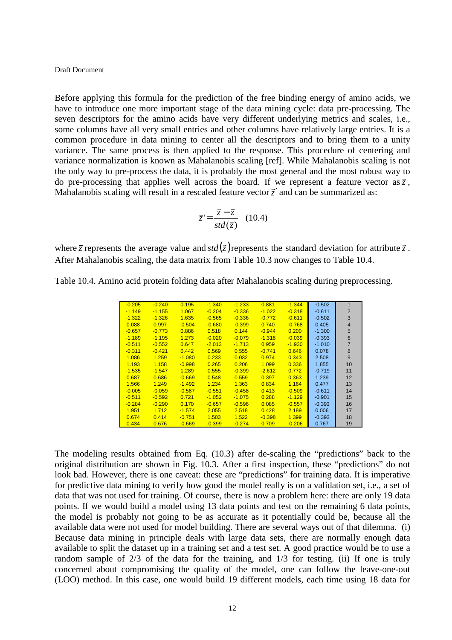Before applying this formula for the prediction of the free binding energy of amino acids, we have to introduce one more important stage of the data mining cycle: data pre-processing. The seven descriptors for the amino acids have very different underlying metrics and scales, i.e., some columns have all very small entries and other columns have relatively large entries. It is a common procedure in data mining to center all the descriptors and to bring them to a unity variance. The same process is then applied to the response. This procedure of centering and variance normalization is known as Mahalanobis scaling [ref]. While Mahalanobis scaling is not the only way to pre-process the data, it is probably the most general and the most robust way to do pre-processing that applies well across the board. If we represent a feature vector as  $\vec{z}$ , Mahalanobis scaling will result in a rescaled feature vector  $\vec{z}'$  and can be summarized as:

$$
\vec{z} = \frac{\vec{z} - \vec{z}}{std(\vec{z})} \quad (10.4)
$$

where  $\bar{z}$  represents the average value and  $std(\bar{z})$  represents the standard deviation for attribute  $\bar{z}$ . After Mahalanobis scaling, the data matrix from Table 10.3 now changes to Table 10.4.

|  |  |  |  |  |  | Table 10.4. Amino acid protein folding data after Mahalanobis scaling during preprocessing. |
|--|--|--|--|--|--|---------------------------------------------------------------------------------------------|
|  |  |  |  |  |  |                                                                                             |

| $-0.205$ | $-0.240$ | 0.195    | $-1.340$ | $-1.233$ | 0.881    | $-1.344$ | $-0.502$ |                |
|----------|----------|----------|----------|----------|----------|----------|----------|----------------|
| $-1.149$ | $-1.155$ | 1.067    | $-0.204$ | $-0.336$ | $-1.022$ | $-0.318$ | $-0.611$ | $\overline{2}$ |
| $-1.322$ | $-1.326$ | 1.635    | $-0.565$ | $-0.336$ | $-0.772$ | $-0.611$ | $-0.502$ | 3              |
| 0.088    | 0.997    | $-0.504$ | $-0.680$ | $-0.399$ | 0.740    | $-0.768$ | 0.405    | 4              |
| $-0.657$ | $-0.773$ | 0.886    | 0.518    | 0.144    | $-0.944$ | 0.200    | $-1.300$ | 5              |
| $-1.189$ | $-1.195$ | 1.273    | $-0.020$ | $-0.079$ | $-1.318$ | $-0.039$ | $-0.393$ | 6              |
| $-0.511$ | $-0.552$ | 0.647    | $-2.013$ | $-1.713$ | 0.959    | $-1.930$ | $-1.010$ |                |
| $-0.311$ | $-0.421$ | 0.442    | 0.569    | 0.555    | $-0.741$ | 0.646    | 0.078    | 8              |
| 1.086    | 1.259    | $-1.080$ | 0.233    | 0.032    | 0.974    | 0.343    | 2.508    | 9              |
| 1.193    | 1.158    | $-0.998$ | 0.265    | 0.206    | 1.099    | 0.336    | 1.855    | 10             |
| $-1.535$ | $-1.547$ | 1.289    | 0.555    | $-0.399$ | $-2.612$ | 0.772    | $-0.719$ | 11             |
| 0.687    | 0.686    | $-0.669$ | 0.548    | 0.559    | 0.397    | 0.363    | 1.239    | 12             |
| 1.566    | 1.249    | $-1.492$ | 1.234    | 1.363    | 0.834    | 1.164    | 0.477    | 13             |
| $-0.005$ | $-0.059$ | $-0.587$ | $-0.551$ | $-0.458$ | 0.413    | $-0.509$ | $-0.611$ | 14             |
| $-0.511$ | $-0.592$ | 0.721    | $-1.052$ | $-1.075$ | 0.288    | $-1.129$ | $-0.901$ | 15             |
| $-0.284$ | $-0.290$ | 0.170    | $-0.657$ | $-0.596$ | 0.085    | $-0.557$ | $-0.393$ | 16             |
| 1.951    | 1.712    | $-1.574$ | 2.055    | 2.518    | 0.428    | 2.189    | 0.006    | 17             |
| 0.674    | 0.414    | $-0.751$ | 1.503    | 1.522    | $-0.398$ | 1.399    | $-0.393$ | 18             |
| 0.434    | 0.676    | $-0.669$ | $-0.399$ | $-0.274$ | 0.709    | $-0.206$ | 0.767    | 19             |

The modeling results obtained from Eq. (10.3) after de-scaling the "predictions" back to the original distribution are shown in Fig. 10.3. After a first inspection, these "predictions" do not look bad. However, there is one caveat: these are "predictions" for training data. It is imperative for predictive data mining to verify how good the model really is on a validation set, i.e., a set of data that was not used for training. Of course, there is now a problem here: there are only 19 data points. If we would build a model using 13 data points and test on the remaining 6 data points, the model is probably not going to be as accurate as it potentially could be, because all the available data were not used for model building. There are several ways out of that dilemma. (i) Because data mining in principle deals with large data sets, there are normally enough data available to split the dataset up in a training set and a test set. A good practice would be to use a random sample of 2/3 of the data for the training, and 1/3 for testing. (ii) If one is truly concerned about compromising the quality of the model, one can follow the leave-one-out (LOO) method. In this case, one would build 19 different models, each time using 18 data for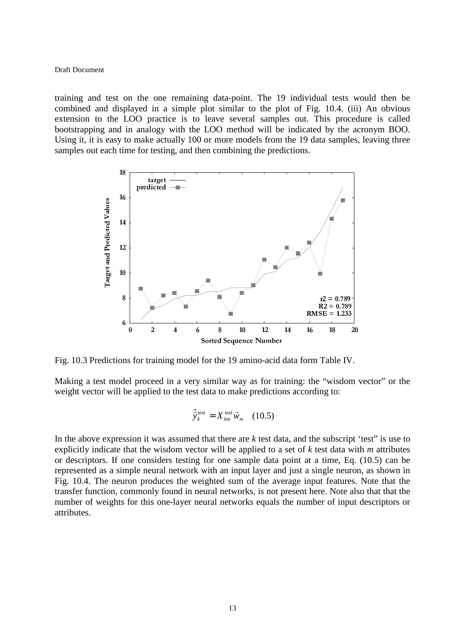training and test on the one remaining data-point. The 19 individual tests would then be combined and displayed in a simple plot similar to the plot of Fig. 10.4. (iii) An obvious extension to the LOO practice is to leave several samples out. This procedure is called bootstrapping and in analogy with the LOO method will be indicated by the acronym BOO. Using it, it is easy to make actually 100 or more models from the 19 data samples, leaving three samples out each time for testing, and then combining the predictions.



Fig. 10.3 Predictions for training model for the 19 amino-acid data form Table IV.

Making a test model proceed in a very similar way as for training: the "wisdom vector" or the weight vector will be applied to the test data to make predictions according to:

$$
\hat{\vec{y}}_{k}^{\textit{test}} = X_{km}^{\textit{test}} \vec{w}_{m} \quad (10.5)
$$

In the above expression it was assumed that there are *k* test data, and the subscript 'test" is use to explicitly indicate that the wisdom vector will be applied to a set of *k* test data with *m* attributes or descriptors. If one considers testing for one sample data point at a time, Eq. (10.5) can be represented as a simple neural network with an input layer and just a single neuron, as shown in Fig. 10.4. The neuron produces the weighted sum of the average input features. Note that the transfer function, commonly found in neural networks, is not present here. Note also that that the number of weights for this one-layer neural networks equals the number of input descriptors or attributes.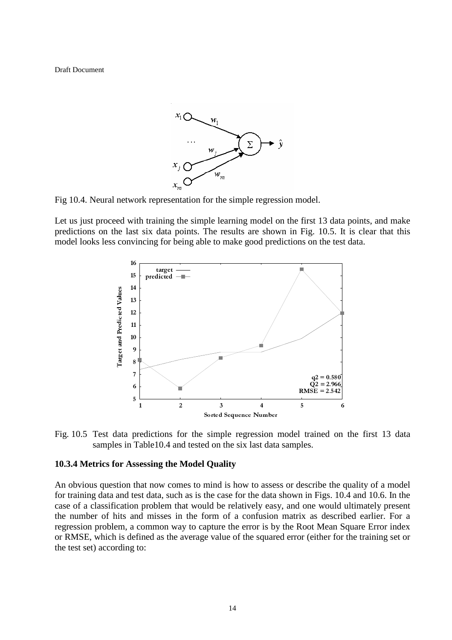

Fig 10.4. Neural network representation for the simple regression model.

Let us just proceed with training the simple learning model on the first 13 data points, and make predictions on the last six data points. The results are shown in Fig. 10.5. It is clear that this model looks less convincing for being able to make good predictions on the test data.



Fig. 10.5 Test data predictions for the simple regression model trained on the first 13 data samples in Table10.4 and tested on the six last data samples.

### **10.3.4 Metrics for Assessing the Model Quality**

An obvious question that now comes to mind is how to assess or describe the quality of a model for training data and test data, such as is the case for the data shown in Figs. 10.4 and 10.6. In the case of a classification problem that would be relatively easy, and one would ultimately present the number of hits and misses in the form of a confusion matrix as described earlier. For a regression problem, a common way to capture the error is by the Root Mean Square Error index or RMSE, which is defined as the average value of the squared error (either for the training set or the test set) according to: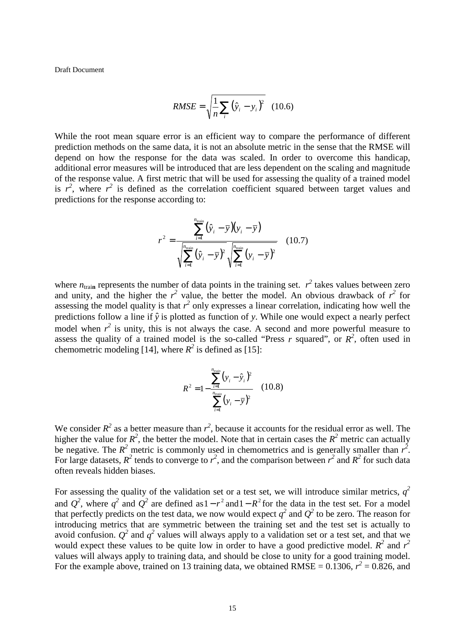RMSE = 
$$
\sqrt{\frac{1}{n} \sum_{i} (\hat{y}_i - y_i)^2}
$$
 (10.6)

While the root mean square error is an efficient way to compare the performance of different prediction methods on the same data, it is not an absolute metric in the sense that the RMSE will depend on how the response for the data was scaled. In order to overcome this handicap, additional error measures will be introduced that are less dependent on the scaling and magnitude of the response value. A first metric that will be used for assessing the quality of a trained model is  $r^2$ , where  $r^2$  is defined as the correlation coefficient squared between target values and predictions for the response according to:

$$
r^{2} = \frac{\sum_{i=1}^{n_{\text{train}}} (\hat{y}_{i} - \bar{y})(y_{i} - \bar{y})}{\sqrt{\sum_{i=1}^{n_{\text{train}}} (\hat{y}_{i} - \bar{y})^{2}} \sqrt{\sum_{i=1}^{n_{\text{train}}} (y_{i} - \bar{y})^{2}}}
$$
(10.7)

where  $n_{\text{train}}$  represents the number of data points in the training set.  $r^2$  takes values between zero and unity, and the higher the  $r^2$  value, the better the model. An obvious drawback of  $r^2$  for assessing the model quality is that  $r^2$  only expresses a linear correlation, indicating how well the predictions follow a line if  $\hat{y}$  is plotted as function of *y*. While one would expect a nearly perfect model when  $r^2$  is unity, this is not always the case. A second and more powerful measure to assess the quality of a trained model is the so-called "Press *r* squared", or  $R^2$ , often used in chemometric modeling [14], where  $R^2$  is defined as [15]:

$$
R^{2} = 1 - \frac{\sum_{i=1}^{n_{main}} (y_{i} - \hat{y}_{i})^{2}}{\sum_{i=1}^{n_{main}} (y_{i} - \overline{y})^{2}}
$$
 (10.8)

We consider  $R^2$  as a better measure than  $r^2$ , because it accounts for the residual error as well. The higher the value for  $R^2$ , the better the model. Note that in certain cases the  $R^2$  metric can actually be negative. The  $R^2$  metric is commonly used in chemometrics and is generally smaller than  $r^2$ . For large datasets,  $R^2$  tends to converge to  $r^2$ , and the comparison between  $r^2$  and  $R^2$  for such data often reveals hidden biases.

For assessing the quality of the validation set or a test set, we will introduce similar metrics,  $q^2$ and  $Q^2$ , where  $q^2$  and  $Q^2$  are defined as  $1 - r^2$  and  $1 - R^2$  for the data in the test set. For a model that perfectly predicts on the test data, we now would expect  $q^2$  and  $Q^2$  to be zero. The reason for introducing metrics that are symmetric between the training set and the test set is actually to avoid confusion.  $Q^2$  and  $q^2$  values will always apply to a validation set or a test set, and that we would expect these values to be quite low in order to have a good predictive model.  $R^2$  and  $r^2$ values will always apply to training data, and should be close to unity for a good training model. For the example above, trained on 13 training data, we obtained RMSE =  $0.1306$ ,  $r^2 = 0.826$ , and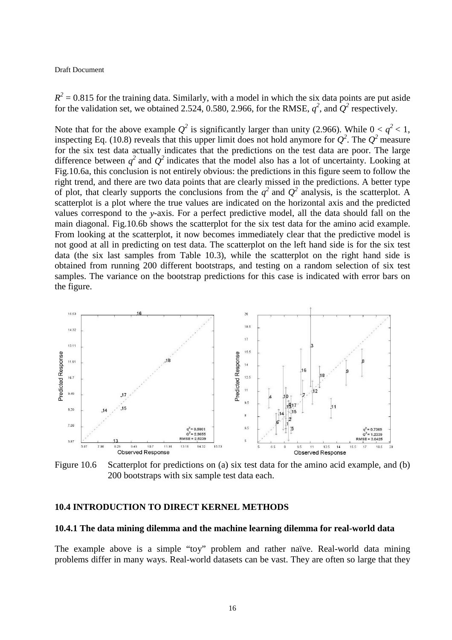$R<sup>2</sup> = 0.815$  for the training data. Similarly, with a model in which the six data points are put aside for the validation set, we obtained 2.524, 0.580, 2.966, for the RMSE,  $q^2$ , and  $Q^2$  respectively.

Note that for the above example  $Q^2$  is significantly larger than unity (2.966). While  $0 < q^2 < 1$ , inspecting Eq. (10.8) reveals that this upper limit does not hold anymore for  $Q^2$ . The  $Q^2$  measure for the six test data actually indicates that the predictions on the test data are poor. The large difference between  $q^2$  and  $Q^2$  indicates that the model also has a lot of uncertainty. Looking at Fig.10.6a, this conclusion is not entirely obvious: the predictions in this figure seem to follow the right trend, and there are two data points that are clearly missed in the predictions. A better type of plot, that clearly supports the conclusions from the  $q^2$  and  $Q^2$  analysis, is the scatterplot. A scatterplot is a plot where the true values are indicated on the horizontal axis and the predicted values correspond to the *y*-axis. For a perfect predictive model, all the data should fall on the main diagonal. Fig.10.6b shows the scatterplot for the six test data for the amino acid example. From looking at the scatterplot, it now becomes immediately clear that the predictive model is not good at all in predicting on test data. The scatterplot on the left hand side is for the six test data (the six last samples from Table 10.3), while the scatterplot on the right hand side is obtained from running 200 different bootstraps, and testing on a random selection of six test samples. The variance on the bootstrap predictions for this case is indicated with error bars on the figure.



Figure 10.6 Scatterplot for predictions on (a) six test data for the amino acid example, and (b) 200 bootstraps with six sample test data each.

### **10.4 INTRODUCTION TO DIRECT KERNEL METHODS**

### **10.4.1 The data mining dilemma and the machine learning dilemma for real-world data**

The example above is a simple "toy" problem and rather naïve. Real-world data mining problems differ in many ways. Real-world datasets can be vast. They are often so large that they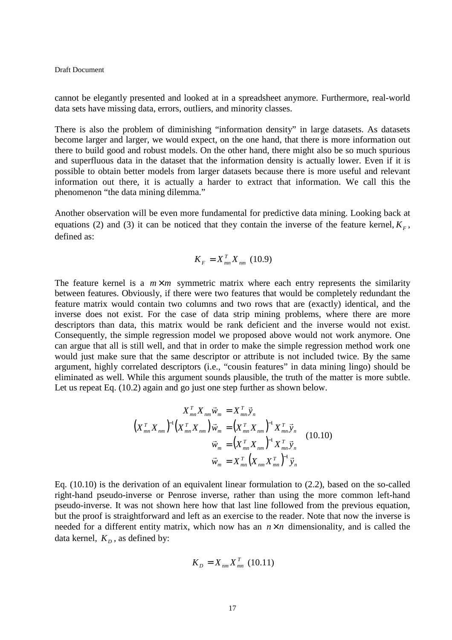cannot be elegantly presented and looked at in a spreadsheet anymore. Furthermore, real-world data sets have missing data, errors, outliers, and minority classes.

There is also the problem of diminishing "information density" in large datasets. As datasets become larger and larger, we would expect, on the one hand, that there is more information out there to build good and robust models. On the other hand, there might also be so much spurious and superfluous data in the dataset that the information density is actually lower. Even if it is possible to obtain better models from larger datasets because there is more useful and relevant information out there, it is actually a harder to extract that information. We call this the phenomenon "the data mining dilemma."

Another observation will be even more fundamental for predictive data mining. Looking back at equations (2) and (3) it can be noticed that they contain the inverse of the feature kernel,  $K_F$ , defined as:

$$
K_{F}=X_{mn}^{T}X_{nm} \ (10.9)
$$

The feature kernel is a  $m \times m$  symmetric matrix where each entry represents the similarity between features. Obviously, if there were two features that would be completely redundant the feature matrix would contain two columns and two rows that are (exactly) identical, and the inverse does not exist. For the case of data strip mining problems, where there are more descriptors than data, this matrix would be rank deficient and the inverse would not exist. Consequently, the simple regression model we proposed above would not work anymore. One can argue that all is still well, and that in order to make the simple regression method work one would just make sure that the same descriptor or attribute is not included twice. By the same argument, highly correlated descriptors (i.e., "cousin features" in data mining lingo) should be eliminated as well. While this argument sounds plausible, the truth of the matter is more subtle. Let us repeat Eq. (10.2) again and go just one step further as shown below.

$$
X_{mn}^T X_{nm} \vec{w}_m = X_{mn}^T \vec{y}_n
$$
  

$$
(X_{mn}^T X_{nm})^{-1} (X_{mn}^T X_{nm}) \vec{w}_m = (X_{mn}^T X_{nm})^{-1} X_{mn}^T \vec{y}_n
$$
  

$$
\vec{w}_m = (X_{mn}^T X_{nm})^{-1} X_{mn}^T \vec{y}_n
$$
  

$$
\vec{w}_m = X_{mn}^T (X_{nm} X_{mn})^{-1} \vec{y}_n
$$
  
(10.10)

Eq.  $(10.10)$  is the derivation of an equivalent linear formulation to  $(2.2)$ , based on the so-called right-hand pseudo-inverse or Penrose inverse, rather than using the more common left-hand pseudo-inverse. It was not shown here how that last line followed from the previous equation, but the proof is straightforward and left as an exercise to the reader. Note that now the inverse is needed for a different entity matrix, which now has an  $n \times n$  dimensionality, and is called the data kernel,  $K_{\textit{D}}$ , as defined by:

$$
K_{D} = X_{nm} X_{mn}^{T} (10.11)
$$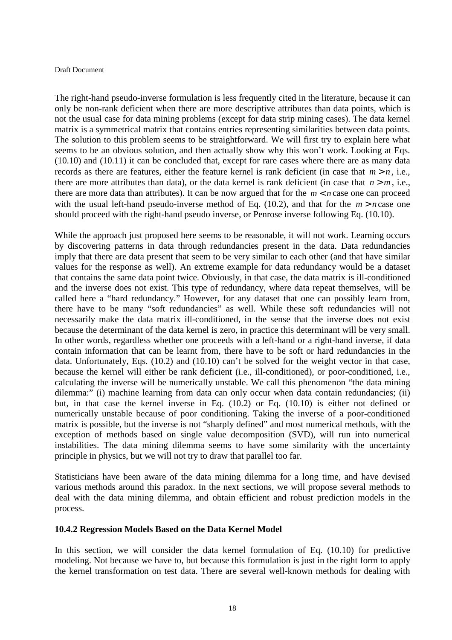The right-hand pseudo-inverse formulation is less frequently cited in the literature, because it can only be non-rank deficient when there are more descriptive attributes than data points, which is not the usual case for data mining problems (except for data strip mining cases). The data kernel matrix is a symmetrical matrix that contains entries representing similarities between data points. The solution to this problem seems to be straightforward. We will first try to explain here what seems to be an obvious solution, and then actually show why this won't work. Looking at Eqs. (10.10) and (10.11) it can be concluded that, except for rare cases where there are as many data records as there are features, either the feature kernel is rank deficient (in case that  $m > n$ , i.e., there are more attributes than data), or the data kernel is rank deficient (in case that  $n > m$ , i.e., there are more data than attributes). It can be now argued that for the *m* < *n* case one can proceed with the usual left-hand pseudo-inverse method of Eq. (10.2), and that for the  $m > n$  case one should proceed with the right-hand pseudo inverse, or Penrose inverse following Eq. (10.10).

While the approach just proposed here seems to be reasonable, it will not work. Learning occurs by discovering patterns in data through redundancies present in the data. Data redundancies imply that there are data present that seem to be very similar to each other (and that have similar values for the response as well). An extreme example for data redundancy would be a dataset that contains the same data point twice. Obviously, in that case, the data matrix is ill-conditioned and the inverse does not exist. This type of redundancy, where data repeat themselves, will be called here a "hard redundancy." However, for any dataset that one can possibly learn from, there have to be many "soft redundancies" as well. While these soft redundancies will not necessarily make the data matrix ill-conditioned, in the sense that the inverse does not exist because the determinant of the data kernel is zero, in practice this determinant will be very small. In other words, regardless whether one proceeds with a left-hand or a right-hand inverse, if data contain information that can be learnt from, there have to be soft or hard redundancies in the data. Unfortunately, Eqs. (10.2) and (10.10) can't be solved for the weight vector in that case, because the kernel will either be rank deficient (i.e., ill-conditioned), or poor-conditioned, i.e., calculating the inverse will be numerically unstable. We call this phenomenon "the data mining dilemma:" (i) machine learning from data can only occur when data contain redundancies; (ii) but, in that case the kernel inverse in Eq. (10.2) or Eq. (10.10) is either not defined or numerically unstable because of poor conditioning. Taking the inverse of a poor-conditioned matrix is possible, but the inverse is not "sharply defined" and most numerical methods, with the exception of methods based on single value decomposition (SVD), will run into numerical instabilities. The data mining dilemma seems to have some similarity with the uncertainty principle in physics, but we will not try to draw that parallel too far.

Statisticians have been aware of the data mining dilemma for a long time, and have devised various methods around this paradox. In the next sections, we will propose several methods to deal with the data mining dilemma, and obtain efficient and robust prediction models in the process.

## **10.4.2 Regression Models Based on the Data Kernel Model**

In this section, we will consider the data kernel formulation of Eq. (10.10) for predictive modeling. Not because we have to, but because this formulation is just in the right form to apply the kernel transformation on test data. There are several well-known methods for dealing with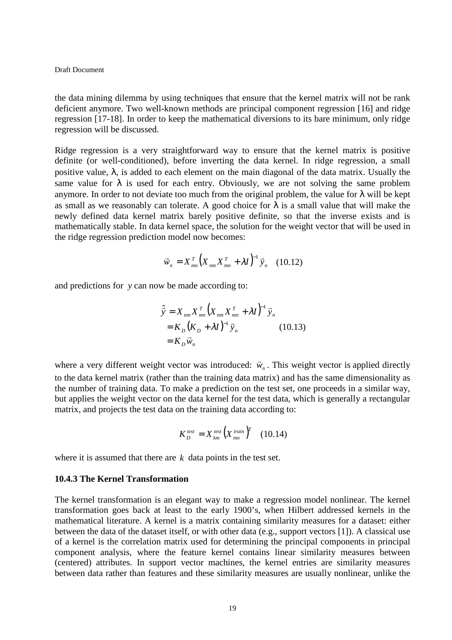the data mining dilemma by using techniques that ensure that the kernel matrix will not be rank deficient anymore. Two well-known methods are principal component regression [16] and ridge regression [17-18]. In order to keep the mathematical diversions to its bare minimum, only ridge regression will be discussed.

Ridge regression is a very straightforward way to ensure that the kernel matrix is positive definite (or well-conditioned), before inverting the data kernel. In ridge regression, a small positive value,  $\lambda$ , is added to each element on the main diagonal of the data matrix. Usually the same value for  $\lambda$  is used for each entry. Obviously, we are not solving the same problem anymore. In order to not deviate too much from the original problem, the value for  $\lambda$  will be kept as small as we reasonably can tolerate. A good choice for  $\lambda$  is a small value that will make the newly defined data kernel matrix barely positive definite, so that the inverse exists and is mathematically stable. In data kernel space, the solution for the weight vector that will be used in the ridge regression prediction model now becomes:

$$
\vec{w}_n = X_{mn}^T (X_{nm} X_{mn}^T + \lambda I)^{-1} \vec{y}_n \quad (10.12)
$$

and predictions for *y* can now be made according to:

$$
\hat{\vec{y}} = X_{nm} X_{mn}^T (X_{nm} X_{mn}^T + \lambda I)^{-1} \vec{y}_n \n= K_D (K_D + \lambda I)^{-1} \vec{y}_n
$$
\n(10.13)\n  
\n= K\_D \vec{w}\_n

where a very different weight vector was introduced:  $\vec{w}_n$ . This weight vector is applied directly to the data kernel matrix (rather than the training data matrix) and has the same dimensionality as the number of training data. To make a prediction on the test set, one proceeds in a similar way, but applies the weight vector on the data kernel for the test data, which is generally a rectangular matrix, and projects the test data on the training data according to:

$$
K_D^{\text{test}} = X_{km}^{\text{test}} \left( X_{mn}^{\text{train}} \right)^T \quad (10.14)
$$

where it is assumed that there are *k* data points in the test set.

## **10.4.3 The Kernel Transformation**

The kernel transformation is an elegant way to make a regression model nonlinear. The kernel transformation goes back at least to the early 1900's, when Hilbert addressed kernels in the mathematical literature. A kernel is a matrix containing similarity measures for a dataset: either between the data of the dataset itself, or with other data (e.g., support vectors [1]). A classical use of a kernel is the correlation matrix used for determining the principal components in principal component analysis, where the feature kernel contains linear similarity measures between (centered) attributes. In support vector machines, the kernel entries are similarity measures between data rather than features and these similarity measures are usually nonlinear, unlike the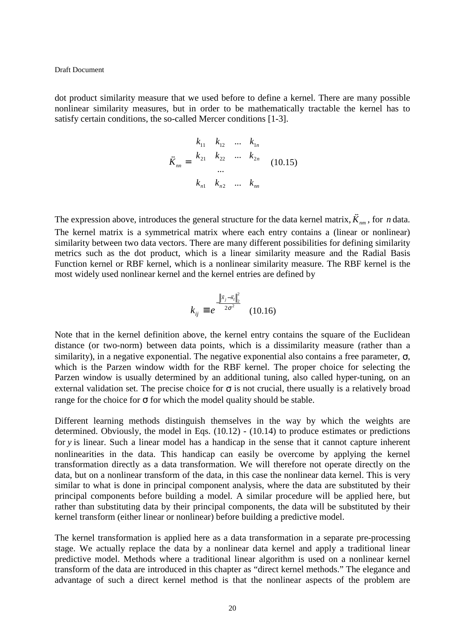dot product similarity measure that we used before to define a kernel. There are many possible nonlinear similarity measures, but in order to be mathematically tractable the kernel has to satisfy certain conditions, the so-called Mercer conditions [1-3].

$$
\vec{K}_{nn} = \begin{bmatrix} k_{11} & k_{12} & \dots & k_{1n} \\ k_{21} & k_{22} & \dots & k_{2n} \\ \dots & \dots & \dots & \dots \\ k_{n1} & k_{n2} & \dots & k_{nn} \end{bmatrix}
$$
 (10.15)

The expression above, introduces the general structure for the data kernel matrix,  $\vec{K}_{nm}$ , for *n* data. The kernel matrix is a symmetrical matrix where each entry contains a (linear or nonlinear) similarity between two data vectors. There are many different possibilities for defining similarity metrics such as the dot product, which is a linear similarity measure and the Radial Basis Function kernel or RBF kernel, which is a nonlinear similarity measure. The RBF kernel is the most widely used nonlinear kernel and the kernel entries are defined by

$$
k_{ij} \equiv e^{-\frac{\left\|\vec{x}_j - \vec{x}_l\right\|_2^2}{2\sigma^2}}
$$
 (10.16)

Note that in the kernel definition above, the kernel entry contains the square of the Euclidean distance (or two-norm) between data points, which is a dissimilarity measure (rather than a similarity), in a negative exponential. The negative exponential also contains a free parameter,  $\sigma$ , which is the Parzen window width for the RBF kernel. The proper choice for selecting the Parzen window is usually determined by an additional tuning, also called hyper-tuning, on an external validation set. The precise choice for  $\sigma$  is not crucial, there usually is a relatively broad range for the choice for  $\sigma$  for which the model quality should be stable.

Different learning methods distinguish themselves in the way by which the weights are determined. Obviously, the model in Eqs. (10.12) - (10.14) to produce estimates or predictions for *y* is linear. Such a linear model has a handicap in the sense that it cannot capture inherent nonlinearities in the data. This handicap can easily be overcome by applying the kernel transformation directly as a data transformation. We will therefore not operate directly on the data, but on a nonlinear transform of the data, in this case the nonlinear data kernel. This is very similar to what is done in principal component analysis, where the data are substituted by their principal components before building a model. A similar procedure will be applied here, but rather than substituting data by their principal components, the data will be substituted by their kernel transform (either linear or nonlinear) before building a predictive model.

The kernel transformation is applied here as a data transformation in a separate pre-processing stage. We actually replace the data by a nonlinear data kernel and apply a traditional linear predictive model. Methods where a traditional linear algorithm is used on a nonlinear kernel transform of the data are introduced in this chapter as "direct kernel methods." The elegance and advantage of such a direct kernel method is that the nonlinear aspects of the problem are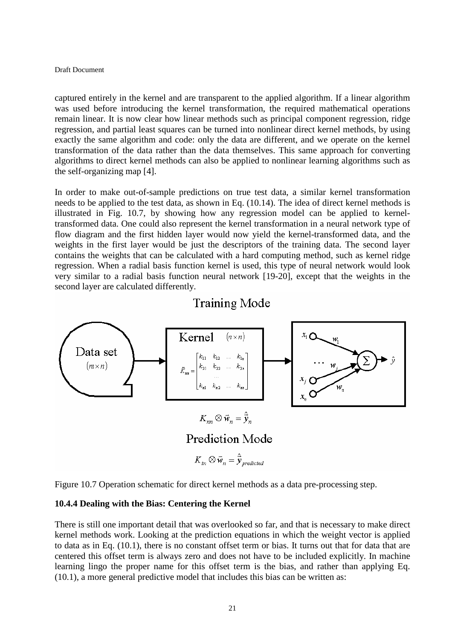captured entirely in the kernel and are transparent to the applied algorithm. If a linear algorithm was used before introducing the kernel transformation, the required mathematical operations remain linear. It is now clear how linear methods such as principal component regression, ridge regression, and partial least squares can be turned into nonlinear direct kernel methods, by using exactly the same algorithm and code: only the data are different, and we operate on the kernel transformation of the data rather than the data themselves. This same approach for converting algorithms to direct kernel methods can also be applied to nonlinear learning algorithms such as the self-organizing map [4].

In order to make out-of-sample predictions on true test data, a similar kernel transformation needs to be applied to the test data, as shown in Eq. (10.14). The idea of direct kernel methods is illustrated in Fig. 10.7, by showing how any regression model can be applied to kerneltransformed data. One could also represent the kernel transformation in a neural network type of flow diagram and the first hidden layer would now yield the kernel-transformed data, and the weights in the first layer would be just the descriptors of the training data. The second layer contains the weights that can be calculated with a hard computing method, such as kernel ridge regression. When a radial basis function kernel is used, this type of neural network would look very similar to a radial basis function neural network [19-20], except that the weights in the second layer are calculated differently.



Figure 10.7 Operation schematic for direct kernel methods as a data pre-processing step.

## **10.4.4 Dealing with the Bias: Centering the Kernel**

There is still one important detail that was overlooked so far, and that is necessary to make direct kernel methods work. Looking at the prediction equations in which the weight vector is applied to data as in Eq. (10.1), there is no constant offset term or bias. It turns out that for data that are centered this offset term is always zero and does not have to be included explicitly. In machine learning lingo the proper name for this offset term is the bias, and rather than applying Eq. (10.1), a more general predictive model that includes this bias can be written as: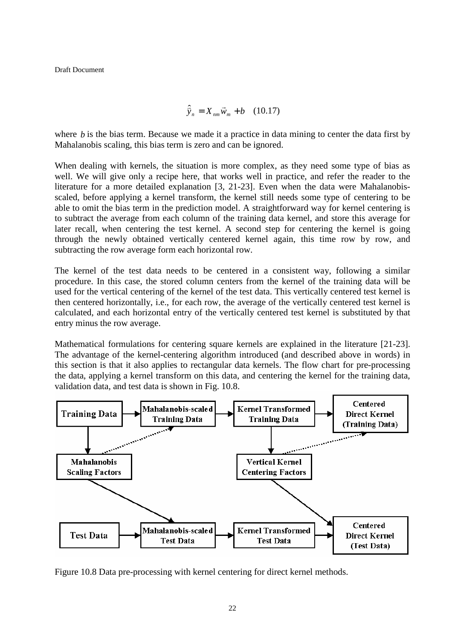$$
\hat{\vec{y}}_n = X_{nm}\vec{w}_m + b \quad (10.17)
$$

where *b* is the bias term. Because we made it a practice in data mining to center the data first by Mahalanobis scaling, this bias term is zero and can be ignored.

When dealing with kernels, the situation is more complex, as they need some type of bias as well. We will give only a recipe here, that works well in practice, and refer the reader to the literature for a more detailed explanation [3, 21-23]. Even when the data were Mahalanobisscaled, before applying a kernel transform, the kernel still needs some type of centering to be able to omit the bias term in the prediction model. A straightforward way for kernel centering is to subtract the average from each column of the training data kernel, and store this average for later recall, when centering the test kernel. A second step for centering the kernel is going through the newly obtained vertically centered kernel again, this time row by row, and subtracting the row average form each horizontal row.

The kernel of the test data needs to be centered in a consistent way, following a similar procedure. In this case, the stored column centers from the kernel of the training data will be used for the vertical centering of the kernel of the test data. This vertically centered test kernel is then centered horizontally, i.e., for each row, the average of the vertically centered test kernel is calculated, and each horizontal entry of the vertically centered test kernel is substituted by that entry minus the row average.

Mathematical formulations for centering square kernels are explained in the literature [21-23]. The advantage of the kernel-centering algorithm introduced (and described above in words) in this section is that it also applies to rectangular data kernels. The flow chart for pre-processing the data, applying a kernel transform on this data, and centering the kernel for the training data, validation data, and test data is shown in Fig. 10.8.



Figure 10.8 Data pre-processing with kernel centering for direct kernel methods.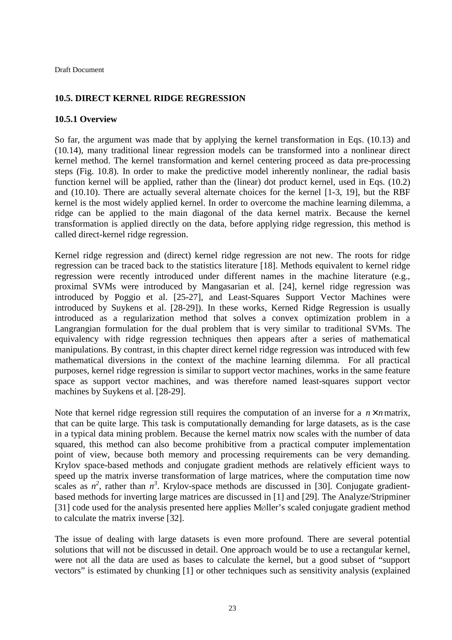## **10.5. DIRECT KERNEL RIDGE REGRESSION**

## **10.5.1 Overview**

So far, the argument was made that by applying the kernel transformation in Eqs. (10.13) and (10.14), many traditional linear regression models can be transformed into a nonlinear direct kernel method. The kernel transformation and kernel centering proceed as data pre-processing steps (Fig. 10.8). In order to make the predictive model inherently nonlinear, the radial basis function kernel will be applied, rather than the (linear) dot product kernel, used in Eqs. (10.2) and (10.10). There are actually several alternate choices for the kernel [1-3, 19], but the RBF kernel is the most widely applied kernel. In order to overcome the machine learning dilemma, a ridge can be applied to the main diagonal of the data kernel matrix. Because the kernel transformation is applied directly on the data, before applying ridge regression, this method is called direct-kernel ridge regression.

Kernel ridge regression and (direct) kernel ridge regression are not new. The roots for ridge regression can be traced back to the statistics literature [18]. Methods equivalent to kernel ridge regression were recently introduced under different names in the machine literature (e.g., proximal SVMs were introduced by Mangasarian et al. [24], kernel ridge regression was introduced by Poggio et al. [25-27], and Least-Squares Support Vector Machines were introduced by Suykens et al. [28-29]). In these works, Kerned Ridge Regression is usually introduced as a regularization method that solves a convex optimization problem in a Langrangian formulation for the dual problem that is very similar to traditional SVMs. The equivalency with ridge regression techniques then appears after a series of mathematical manipulations. By contrast, in this chapter direct kernel ridge regression was introduced with few mathematical diversions in the context of the machine learning dilemma. For all practical purposes, kernel ridge regression is similar to support vector machines, works in the same feature space as support vector machines, and was therefore named least-squares support vector machines by Suykens et al. [28-29].

Note that kernel ridge regression still requires the computation of an inverse for a  $n \times n$  matrix, that can be quite large. This task is computationally demanding for large datasets, as is the case in a typical data mining problem. Because the kernel matrix now scales with the number of data squared, this method can also become prohibitive from a practical computer implementation point of view, because both memory and processing requirements can be very demanding. Krylov space-based methods and conjugate gradient methods are relatively efficient ways to speed up the matrix inverse transformation of large matrices, where the computation time now scales as  $n^2$ , rather than  $n^3$ . Krylov-space methods are discussed in [30]. Conjugate gradientbased methods for inverting large matrices are discussed in [1] and [29]. The Analyze/Stripminer [31] code used for the analysis presented here applies Møller's scaled conjugate gradient method to calculate the matrix inverse [32].

The issue of dealing with large datasets is even more profound. There are several potential solutions that will not be discussed in detail. One approach would be to use a rectangular kernel, were not all the data are used as bases to calculate the kernel, but a good subset of "support vectors" is estimated by chunking [1] or other techniques such as sensitivity analysis (explained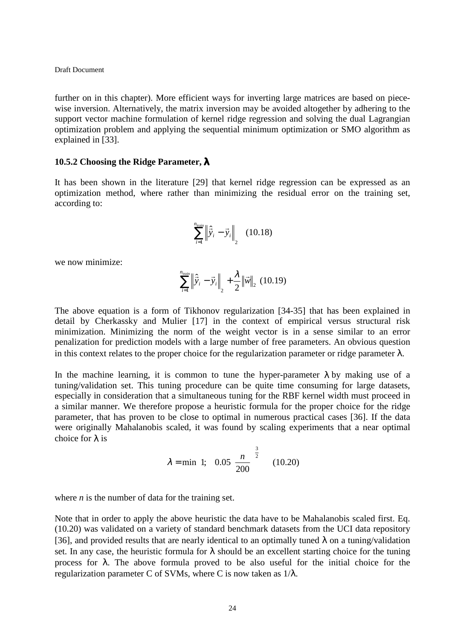further on in this chapter). More efficient ways for inverting large matrices are based on piecewise inversion. Alternatively, the matrix inversion may be avoided altogether by adhering to the support vector machine formulation of kernel ridge regression and solving the dual Lagrangian optimization problem and applying the sequential minimum optimization or SMO algorithm as explained in [33].

### **10.5.2 Choosing the Ridge Parameter,** λ

It has been shown in the literature [29] that kernel ridge regression can be expressed as an optimization method, where rather than minimizing the residual error on the training set, according to:

$$
\sum_{i=1}^{n_{\text{train}}} \left\| \hat{\vec{y}}_i - \vec{y}_i \right\|_2 \quad (10.18)
$$

we now minimize:

$$
\sum_{i=1}^{n_{\text{train}}} \left\| \hat{\vec{y}}_i - \vec{y}_i \right\|_2 + \frac{\lambda}{2} \left\| \vec{w} \right\|_2 (10.19)
$$

The above equation is a form of Tikhonov regularization [34-35] that has been explained in detail by Cherkassky and Mulier [17] in the context of empirical versus structural risk minimization. Minimizing the norm of the weight vector is in a sense similar to an error penalization for prediction models with a large number of free parameters. An obvious question in this context relates to the proper choice for the regularization parameter or ridge parameter  $\lambda$ .

In the machine learning, it is common to tune the hyper-parameter  $\lambda$  by making use of a tuning/validation set. This tuning procedure can be quite time consuming for large datasets, especially in consideration that a simultaneous tuning for the RBF kernel width must proceed in a similar manner. We therefore propose a heuristic formula for the proper choice for the ridge parameter, that has proven to be close to optimal in numerous practical cases [36]. If the data were originally Mahalanobis scaled, it was found by scaling experiments that a near optimal choice for λ is

$$
\lambda = \min \left\{ 1; \quad 0.05 \left( \frac{n}{200} \right)^{\frac{3}{2}} \right\}
$$
 (10.20)

where  $n$  is the number of data for the training set.

Note that in order to apply the above heuristic the data have to be Mahalanobis scaled first. Eq. (10.20) was validated on a variety of standard benchmark datasets from the UCI data repository [36], and provided results that are nearly identical to an optimally tuned  $\lambda$  on a tuning/validation set. In any case, the heuristic formula for  $\lambda$  should be an excellent starting choice for the tuning process for λ. The above formula proved to be also useful for the initial choice for the regularization parameter C of SVMs, where C is now taken as  $1/\lambda$ .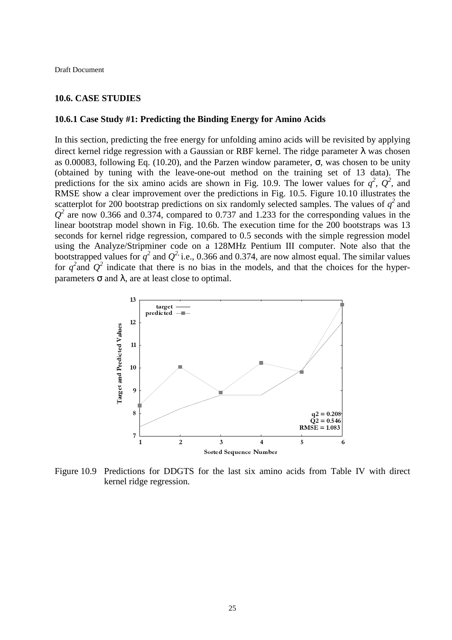### **10.6. CASE STUDIES**

#### **10.6.1 Case Study #1: Predicting the Binding Energy for Amino Acids**

In this section, predicting the free energy for unfolding amino acids will be revisited by applying direct kernel ridge regression with a Gaussian or RBF kernel. The ridge parameter  $\lambda$  was chosen as 0.00083, following Eq. (10.20), and the Parzen window parameter, σ, was chosen to be unity (obtained by tuning with the leave-one-out method on the training set of 13 data). The predictions for the six amino acids are shown in Fig. 10.9. The lower values for  $q^2$ ,  $Q^2$ , and RMSE show a clear improvement over the predictions in Fig. 10.5. Figure 10.10 illustrates the scatterplot for 200 bootstrap predictions on six randomly selected samples. The values of  $q^2$  and  $Q^2$  are now 0.366 and 0.374, compared to 0.737 and 1.233 for the corresponding values in the linear bootstrap model shown in Fig. 10.6b. The execution time for the 200 bootstraps was 13 seconds for kernel ridge regression, compared to 0.5 seconds with the simple regression model using the Analyze/Stripminer code on a 128MHz Pentium III computer. Note also that the bootstrapped values for  $q^2$  and  $Q^2$  i.e., 0.366 and 0.374, are now almost equal. The similar values for  $q^2$  and  $Q^2$  indicate that there is no bias in the models, and that the choices for the hyperparameters  $\sigma$  and  $\lambda$ , are at least close to optimal.



Figure 10.9 Predictions for DDGTS for the last six amino acids from Table IV with direct kernel ridge regression.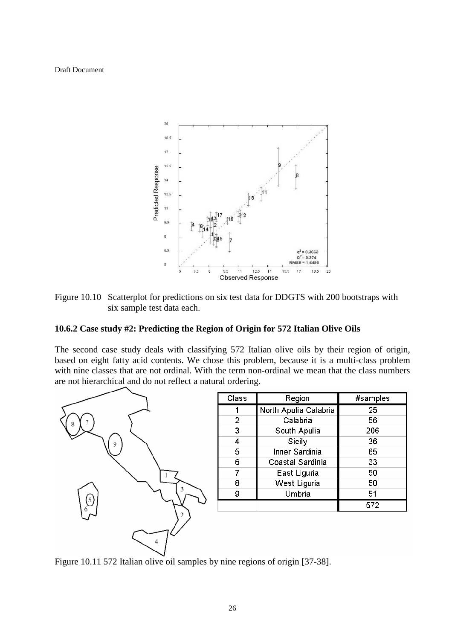

Figure 10.10 Scatterplot for predictions on six test data for DDGTS with 200 bootstraps with six sample test data each.

## **10.6.2 Case study #2: Predicting the Region of Origin for 572 Italian Olive Oils**

The second case study deals with classifying 572 Italian olive oils by their region of origin, based on eight fatty acid contents. We chose this problem, because it is a multi-class problem with nine classes that are not ordinal. With the term non-ordinal we mean that the class numbers are not hierarchical and do not reflect a natural ordering.



| Class | Region                | #samples |
|-------|-----------------------|----------|
|       | North Apulia Calabria | 25       |
| 2     | Calabria              | 56       |
| 3     | South Apulia          | 206      |
| 4     | Sicily                | 36       |
| 5     | Inner Sardinia        | 65       |
| 6     | Coastal Sardinia      | 33       |
| 7     | East Liguria          | 50       |
| 8     | West Liguria          | 50       |
| 9     | Umbria                | 51       |
|       |                       | 572      |

Figure 10.11 572 Italian olive oil samples by nine regions of origin [37-38].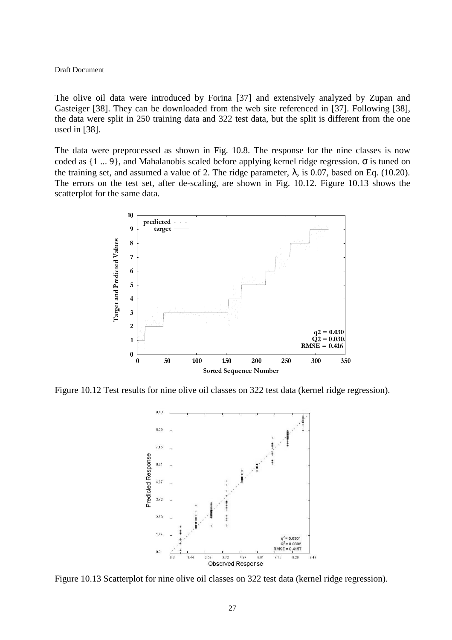The olive oil data were introduced by Forina [37] and extensively analyzed by Zupan and Gasteiger [38]. They can be downloaded from the web site referenced in [37]. Following [38], the data were split in 250 training data and 322 test data, but the split is different from the one used in [38].

The data were preprocessed as shown in Fig. 10.8. The response for the nine classes is now coded as  $\{1, ..., 9\}$ , and Mahalanobis scaled before applying kernel ridge regression.  $\sigma$  is tuned on the training set, and assumed a value of 2. The ridge parameter,  $\lambda$ , is 0.07, based on Eq. (10.20). The errors on the test set, after de-scaling, are shown in Fig. 10.12. Figure 10.13 shows the scatterplot for the same data.



Figure 10.12 Test results for nine olive oil classes on 322 test data (kernel ridge regression).



Figure 10.13 Scatterplot for nine olive oil classes on 322 test data (kernel ridge regression).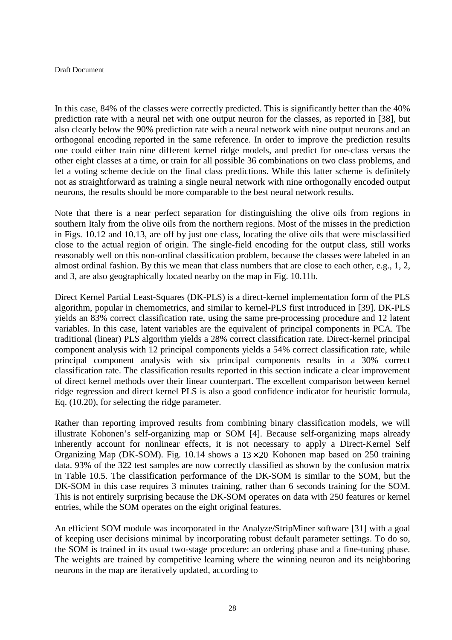In this case, 84% of the classes were correctly predicted. This is significantly better than the 40% prediction rate with a neural net with one output neuron for the classes, as reported in [38], but also clearly below the 90% prediction rate with a neural network with nine output neurons and an orthogonal encoding reported in the same reference. In order to improve the prediction results one could either train nine different kernel ridge models, and predict for one-class versus the other eight classes at a time, or train for all possible 36 combinations on two class problems, and let a voting scheme decide on the final class predictions. While this latter scheme is definitely not as straightforward as training a single neural network with nine orthogonally encoded output neurons, the results should be more comparable to the best neural network results.

Note that there is a near perfect separation for distinguishing the olive oils from regions in southern Italy from the olive oils from the northern regions. Most of the misses in the prediction in Figs. 10.12 and 10.13, are off by just one class, locating the olive oils that were misclassified close to the actual region of origin. The single-field encoding for the output class, still works reasonably well on this non-ordinal classification problem, because the classes were labeled in an almost ordinal fashion. By this we mean that class numbers that are close to each other, e.g., 1, 2, and 3, are also geographically located nearby on the map in Fig. 10.11b.

Direct Kernel Partial Least-Squares (DK-PLS) is a direct-kernel implementation form of the PLS algorithm, popular in chemometrics, and similar to kernel-PLS first introduced in [39]. DK-PLS yields an 83% correct classification rate, using the same pre-processing procedure and 12 latent variables. In this case, latent variables are the equivalent of principal components in PCA. The traditional (linear) PLS algorithm yields a 28% correct classification rate. Direct-kernel principal component analysis with 12 principal components yields a 54% correct classification rate, while principal component analysis with six principal components results in a 30% correct classification rate. The classification results reported in this section indicate a clear improvement of direct kernel methods over their linear counterpart. The excellent comparison between kernel ridge regression and direct kernel PLS is also a good confidence indicator for heuristic formula, Eq. (10.20), for selecting the ridge parameter.

Rather than reporting improved results from combining binary classification models, we will illustrate Kohonen's self-organizing map or SOM [4]. Because self-organizing maps already inherently account for nonlinear effects, it is not necessary to apply a Direct-Kernel Self Organizing Map (DK-SOM). Fig. 10.14 shows a  $13 \times 20$  Kohonen map based on 250 training data. 93% of the 322 test samples are now correctly classified as shown by the confusion matrix in Table 10.5. The classification performance of the DK-SOM is similar to the SOM, but the DK-SOM in this case requires 3 minutes training, rather than 6 seconds training for the SOM. This is not entirely surprising because the DK-SOM operates on data with 250 features or kernel entries, while the SOM operates on the eight original features.

An efficient SOM module was incorporated in the Analyze/StripMiner software [31] with a goal of keeping user decisions minimal by incorporating robust default parameter settings. To do so, the SOM is trained in its usual two-stage procedure: an ordering phase and a fine-tuning phase. The weights are trained by competitive learning where the winning neuron and its neighboring neurons in the map are iteratively updated, according to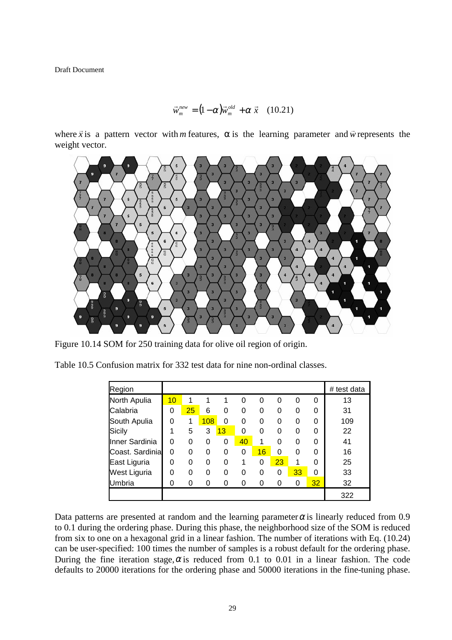$$
\vec{w}_{m}^{new} = (1 - \alpha)\vec{w}_{m}^{old} + \alpha \vec{x} \quad (10.21)
$$

where  $\vec{x}$  is a pattern vector with *m* features,  $\alpha$  is the learning parameter and  $\vec{w}$  represents the weight vector.



Figure 10.14 SOM for 250 training data for olive oil region of origin.

| Table 10.5 Confusion matrix for 332 test data for nine non-ordinal classes. |  |  |  |
|-----------------------------------------------------------------------------|--|--|--|
|                                                                             |  |  |  |

| Region          |    |    |     |    |    |    |    |    |    | # test data |
|-----------------|----|----|-----|----|----|----|----|----|----|-------------|
| North Apulia    | 10 |    |     |    | 0  | 0  | 0  | 0  | 0  | 13          |
| Calabria        | 0  | 25 | 6   | 0  | 0  | 0  | 0  | 0  | 0  | 31          |
| South Apulia    | 0  | 1  | 108 | 0  | 0  | 0  | 0  | 0  | 0  | 109         |
| Sicily          |    | 5  | 3   | 13 | 0  | 0  | 0  | 0  | 0  | 22          |
| Inner Sardinia  | 0  | ი  | 0   | 0  | 40 | 1  | 0  | 0  | 0  | 41          |
| Coast. Sardinia | 0  | ი  | 0   | 0  | 0  | 16 | 0  | 0  | 0  | 16          |
| East Liguria    | 0  | 0  | 0   | 0  | 1  | 0  | 23 | 1  | 0  | 25          |
| West Liguria    | 0  | ი  | 0   | 0  | 0  | 0  | 0  | 33 | 0  | 33          |
| Umbria          | 0  | O  | 0   | 0  | 0  | 0  | 0  | 0  | 32 | 32          |
|                 |    |    |     |    |    |    |    |    |    | 322         |

Data patterns are presented at random and the learning parameter  $\alpha$  is linearly reduced from 0.9 to 0.1 during the ordering phase. During this phase, the neighborhood size of the SOM is reduced from six to one on a hexagonal grid in a linear fashion. The number of iterations with Eq. (10.24) can be user-specified: 100 times the number of samples is a robust default for the ordering phase. During the fine iteration stage,  $\alpha$  is reduced from 0.1 to 0.01 in a linear fashion. The code defaults to 20000 iterations for the ordering phase and 50000 iterations in the fine-tuning phase.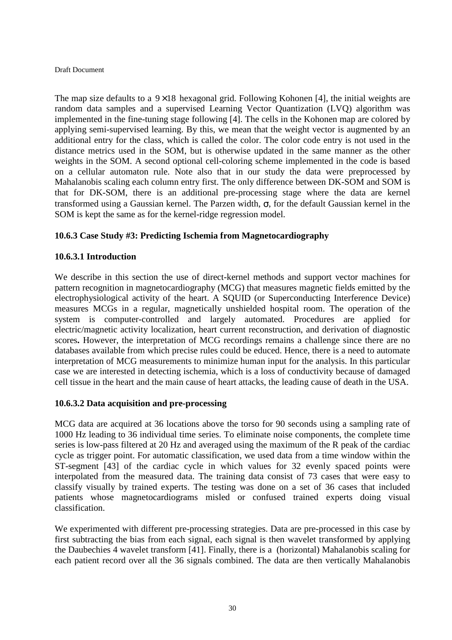The map size defaults to a  $9 \times 18$  hexagonal grid. Following Kohonen [4], the initial weights are random data samples and a supervised Learning Vector Quantization (LVQ) algorithm was implemented in the fine-tuning stage following [4]. The cells in the Kohonen map are colored by applying semi-supervised learning. By this, we mean that the weight vector is augmented by an additional entry for the class, which is called the color. The color code entry is not used in the distance metrics used in the SOM, but is otherwise updated in the same manner as the other weights in the SOM. A second optional cell-coloring scheme implemented in the code is based on a cellular automaton rule. Note also that in our study the data were preprocessed by Mahalanobis scaling each column entry first. The only difference between DK-SOM and SOM is that for DK-SOM, there is an additional pre-processing stage where the data are kernel transformed using a Gaussian kernel. The Parzen width, σ, for the default Gaussian kernel in the SOM is kept the same as for the kernel-ridge regression model.

# **10.6.3 Case Study #3: Predicting Ischemia from Magnetocardiography**

## **10.6.3.1 Introduction**

We describe in this section the use of direct-kernel methods and support vector machines for pattern recognition in magnetocardiography (MCG) that measures magnetic fields emitted by the electrophysiological activity of the heart. A SQUID (or Superconducting Interference Device) measures MCGs in a regular, magnetically unshielded hospital room. The operation of the system is computer-controlled and largely automated. Procedures are applied for electric/magnetic activity localization, heart current reconstruction, and derivation of diagnostic scores**.** However, the interpretation of MCG recordings remains a challenge since there are no databases available from which precise rules could be educed. Hence, there is a need to automate interpretation of MCG measurements to minimize human input for the analysis. In this particular case we are interested in detecting ischemia, which is a loss of conductivity because of damaged cell tissue in the heart and the main cause of heart attacks, the leading cause of death in the USA.

## **10.6.3.2 Data acquisition and pre-processing**

MCG data are acquired at 36 locations above the torso for 90 seconds using a sampling rate of 1000 Hz leading to 36 individual time series. To eliminate noise components, the complete time series is low-pass filtered at 20 Hz and averaged using the maximum of the R peak of the cardiac cycle as trigger point. For automatic classification, we used data from a time window within the ST-segment [43] of the cardiac cycle in which values for 32 evenly spaced points were interpolated from the measured data. The training data consist of 73 cases that were easy to classify visually by trained experts. The testing was done on a set of 36 cases that included patients whose magnetocardiograms misled or confused trained experts doing visual classification.

We experimented with different pre-processing strategies. Data are pre-processed in this case by first subtracting the bias from each signal, each signal is then wavelet transformed by applying the Daubechies 4 wavelet transform [41]. Finally, there is a (horizontal) Mahalanobis scaling for each patient record over all the 36 signals combined. The data are then vertically Mahalanobis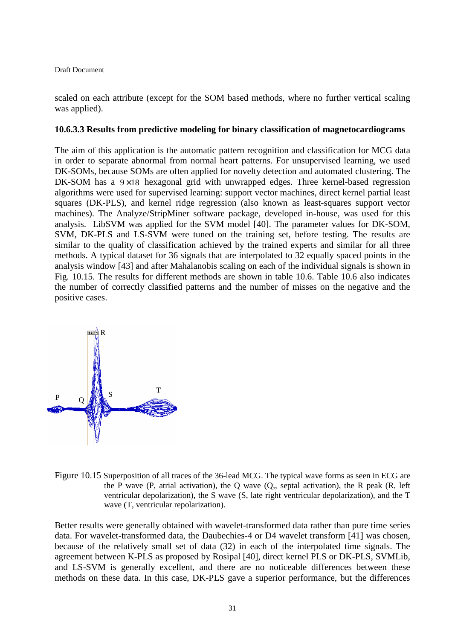scaled on each attribute (except for the SOM based methods, where no further vertical scaling was applied).

### **10.6.3.3 Results from predictive modeling for binary classification of magnetocardiograms**

The aim of this application is the automatic pattern recognition and classification for MCG data in order to separate abnormal from normal heart patterns. For unsupervised learning, we used DK-SOMs, because SOMs are often applied for novelty detection and automated clustering. The  $DK-SOM$  has a  $9 \times 18$  hexagonal grid with unwrapped edges. Three kernel-based regression algorithms were used for supervised learning: support vector machines, direct kernel partial least squares (DK-PLS), and kernel ridge regression (also known as least-squares support vector machines). The Analyze/StripMiner software package, developed in-house, was used for this analysis. LibSVM was applied for the SVM model [40]. The parameter values for DK-SOM, SVM, DK-PLS and LS-SVM were tuned on the training set, before testing. The results are similar to the quality of classification achieved by the trained experts and similar for all three methods. A typical dataset for 36 signals that are interpolated to 32 equally spaced points in the analysis window [43] and after Mahalanobis scaling on each of the individual signals is shown in Fig. 10.15. The results for different methods are shown in table 10.6. Table 10.6 also indicates the number of correctly classified patterns and the number of misses on the negative and the positive cases.



Figure 10.15 Superposition of all traces of the 36-lead MCG. The typical wave forms as seen in ECG are the P wave  $(P,$  atrial activation), the Q wave  $(Q,$ , septal activation), the R peak  $(R, \text{ left})$ ventricular depolarization), the S wave (S, late right ventricular depolarization), and the T wave (T, ventricular repolarization).

Better results were generally obtained with wavelet-transformed data rather than pure time series data. For wavelet-transformed data, the Daubechies-4 or D4 wavelet transform [41] was chosen, because of the relatively small set of data (32) in each of the interpolated time signals. The agreement between K-PLS as proposed by Rosipal [40], direct kernel PLS or DK-PLS, SVMLib, and LS-SVM is generally excellent, and there are no noticeable differences between these methods on these data. In this case, DK-PLS gave a superior performance, but the differences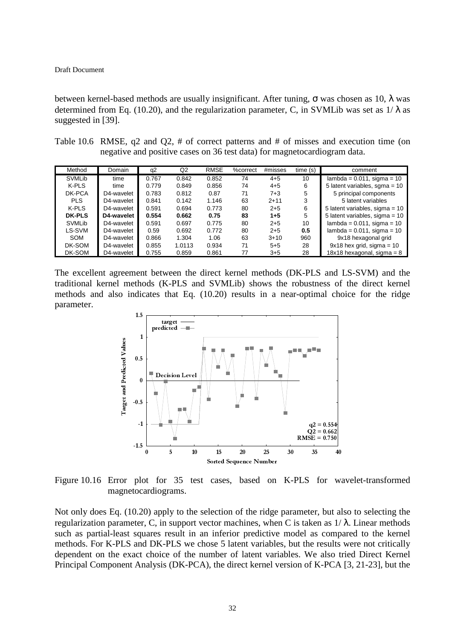between kernel-based methods are usually insignificant. After tuning, σ was chosen as 10, λ was determined from Eq. (10.20), and the regularization parameter, C, in SVMLib was set as  $1/\lambda$  as suggested in [39].

Table 10.6 RMSE, q2 and Q2, # of correct patterns and # of misses and execution time (on negative and positive cases on 36 test data) for magnetocardiogram data.

| Method        | Domain     | a2    | Q <sub>2</sub> | <b>RMSE</b> | %correct | #misses  | time(s) | comment                          |
|---------------|------------|-------|----------------|-------------|----------|----------|---------|----------------------------------|
| SVMLib        | time       | 0.767 | 0.842          | 0.852       | 74       | $4 + 5$  | 10      | $lambda = 0.011$ , sigma = 10    |
| K-PLS         | time       | 0.779 | 0.849          | 0.856       | 74       | $4 + 5$  | 6       | 5 latent variables, sqma = $10$  |
| DK-PCA        | D4-wavelet | 0.783 | 0.812          | 0.87        | 71       | 7+3      | 5       | 5 principal components           |
| <b>PLS</b>    | D4-wavelet | 0.841 | 0.142          | 1.146       | 63       | $2 + 11$ |         | 5 latent variables               |
| K-PLS         | D4-wavelet | 0.591 | 0.694          | 0.773       | 80       | $2 + 5$  | 6       | 5 latent variables, sigma = $10$ |
| <b>DK-PLS</b> | D4-wavelet | 0.554 | 0.662          | 0.75        | 83       | 1+5      | 5       | 5 latent variables, sigma = $10$ |
| <b>SVMLib</b> | D4-wavelet | 0.591 | 0.697          | 0.775       | 80       | $2 + 5$  | 10      | $lambda = 0.011$ , sigma = 10    |
| LS-SVM        | D4-wavelet | 0.59  | 0.692          | 0.772       | 80       | $2 + 5$  | 0.5     | lambda = $0.011$ , sigma = 10    |
| <b>SOM</b>    | D4-wavelet | 0.866 | 1.304          | 1.06        | 63       | $3+10$   | 960     | 9x18 hexagonal grid              |
| DK-SOM        | D4-wavelet | 0.855 | 1.0113         | 0.934       | 71       | $5 + 5$  | 28      | $9x18$ hex grid, sigma = 10      |
| DK-SOM        | D4-wavelet | 0.755 | 0.859          | 0.861       | 77       | $3 + 5$  | 28      | $18x18$ hexagonal, sigma = 8     |

The excellent agreement between the direct kernel methods (DK-PLS and LS-SVM) and the traditional kernel methods (K-PLS and SVMLib) shows the robustness of the direct kernel methods and also indicates that Eq. (10.20) results in a near-optimal choice for the ridge parameter.



Figure 10.16 Error plot for 35 test cases, based on K-PLS for wavelet-transformed magnetocardiograms.

Not only does Eq. (10.20) apply to the selection of the ridge parameter, but also to selecting the regularization parameter, C, in support vector machines, when C is taken as  $1/\lambda$ . Linear methods such as partial-least squares result in an inferior predictive model as compared to the kernel methods. For K-PLS and DK-PLS we chose 5 latent variables, but the results were not critically dependent on the exact choice of the number of latent variables. We also tried Direct Kernel Principal Component Analysis (DK-PCA), the direct kernel version of K-PCA [3, 21-23], but the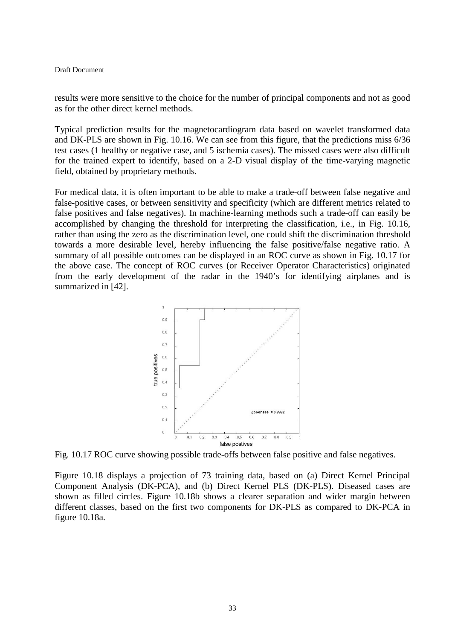results were more sensitive to the choice for the number of principal components and not as good as for the other direct kernel methods.

Typical prediction results for the magnetocardiogram data based on wavelet transformed data and DK-PLS are shown in Fig. 10.16. We can see from this figure, that the predictions miss 6/36 test cases (1 healthy or negative case, and 5 ischemia cases). The missed cases were also difficult for the trained expert to identify, based on a 2-D visual display of the time-varying magnetic field, obtained by proprietary methods.

For medical data, it is often important to be able to make a trade-off between false negative and false-positive cases, or between sensitivity and specificity (which are different metrics related to false positives and false negatives). In machine-learning methods such a trade-off can easily be accomplished by changing the threshold for interpreting the classification, i.e., in Fig. 10.16, rather than using the zero as the discrimination level, one could shift the discrimination threshold towards a more desirable level, hereby influencing the false positive/false negative ratio. A summary of all possible outcomes can be displayed in an ROC curve as shown in Fig. 10.17 for the above case. The concept of ROC curves (or Receiver Operator Characteristics) originated from the early development of the radar in the 1940's for identifying airplanes and is summarized in [42].



Fig. 10.17 ROC curve showing possible trade-offs between false positive and false negatives.

Figure 10.18 displays a projection of 73 training data, based on (a) Direct Kernel Principal Component Analysis (DK-PCA), and (b) Direct Kernel PLS (DK-PLS). Diseased cases are shown as filled circles. Figure 10.18b shows a clearer separation and wider margin between different classes, based on the first two components for DK-PLS as compared to DK-PCA in figure 10.18a.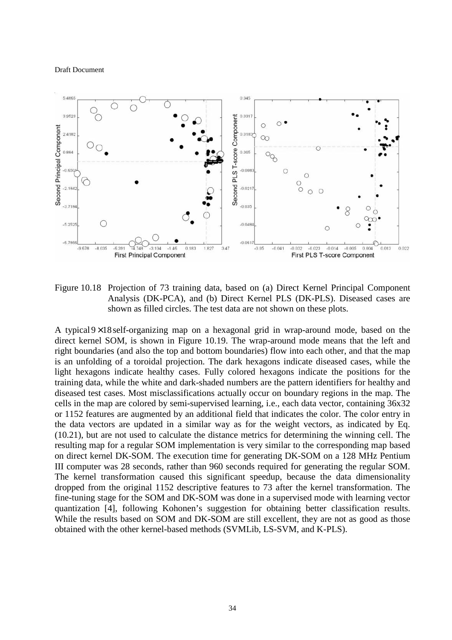

Figure 10.18 Projection of 73 training data, based on (a) Direct Kernel Principal Component Analysis (DK-PCA), and (b) Direct Kernel PLS (DK-PLS). Diseased cases are shown as filled circles. The test data are not shown on these plots.

A typical  $9 \times 18$  self-organizing map on a hexagonal grid in wrap-around mode, based on the direct kernel SOM, is shown in Figure 10.19. The wrap-around mode means that the left and right boundaries (and also the top and bottom boundaries) flow into each other, and that the map is an unfolding of a toroidal projection. The dark hexagons indicate diseased cases, while the light hexagons indicate healthy cases. Fully colored hexagons indicate the positions for the training data, while the white and dark-shaded numbers are the pattern identifiers for healthy and diseased test cases. Most misclassifications actually occur on boundary regions in the map. The cells in the map are colored by semi-supervised learning, i.e., each data vector, containing 36x32 or 1152 features are augmented by an additional field that indicates the color. The color entry in the data vectors are updated in a similar way as for the weight vectors, as indicated by Eq. (10.21), but are not used to calculate the distance metrics for determining the winning cell. The resulting map for a regular SOM implementation is very similar to the corresponding map based on direct kernel DK-SOM. The execution time for generating DK-SOM on a 128 MHz Pentium III computer was 28 seconds, rather than 960 seconds required for generating the regular SOM. The kernel transformation caused this significant speedup, because the data dimensionality dropped from the original 1152 descriptive features to 73 after the kernel transformation. The fine-tuning stage for the SOM and DK-SOM was done in a supervised mode with learning vector quantization [4], following Kohonen's suggestion for obtaining better classification results. While the results based on SOM and DK-SOM are still excellent, they are not as good as those obtained with the other kernel-based methods (SVMLib, LS-SVM, and K-PLS).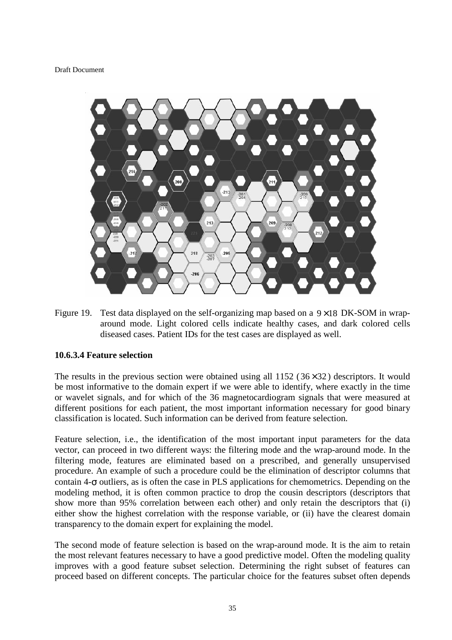

Figure 19. Test data displayed on the self-organizing map based on a  $9 \times 18$  DK-SOM in wraparound mode. Light colored cells indicate healthy cases, and dark colored cells diseased cases. Patient IDs for the test cases are displayed as well.

# **10.6.3.4 Feature selection**

The results in the previous section were obtained using all  $1152 (36 \times 32)$  descriptors. It would be most informative to the domain expert if we were able to identify, where exactly in the time or wavelet signals, and for which of the 36 magnetocardiogram signals that were measured at different positions for each patient, the most important information necessary for good binary classification is located. Such information can be derived from feature selection.

Feature selection, i.e., the identification of the most important input parameters for the data vector, can proceed in two different ways: the filtering mode and the wrap-around mode. In the filtering mode, features are eliminated based on a prescribed, and generally unsupervised procedure. An example of such a procedure could be the elimination of descriptor columns that contain 4- $\sigma$  outliers, as is often the case in PLS applications for chemometrics. Depending on the modeling method, it is often common practice to drop the cousin descriptors (descriptors that show more than 95% correlation between each other) and only retain the descriptors that (i) either show the highest correlation with the response variable, or (ii) have the clearest domain transparency to the domain expert for explaining the model.

The second mode of feature selection is based on the wrap-around mode. It is the aim to retain the most relevant features necessary to have a good predictive model. Often the modeling quality improves with a good feature subset selection. Determining the right subset of features can proceed based on different concepts. The particular choice for the features subset often depends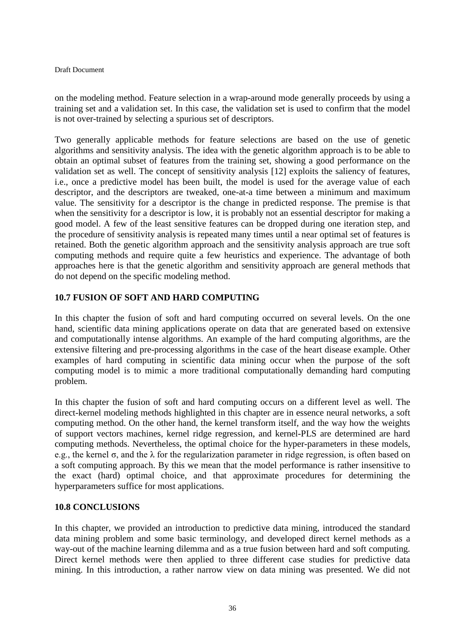on the modeling method. Feature selection in a wrap-around mode generally proceeds by using a training set and a validation set. In this case, the validation set is used to confirm that the model is not over-trained by selecting a spurious set of descriptors.

Two generally applicable methods for feature selections are based on the use of genetic algorithms and sensitivity analysis. The idea with the genetic algorithm approach is to be able to obtain an optimal subset of features from the training set, showing a good performance on the validation set as well. The concept of sensitivity analysis [12] exploits the saliency of features, i.e., once a predictive model has been built, the model is used for the average value of each descriptor, and the descriptors are tweaked, one-at-a time between a minimum and maximum value. The sensitivity for a descriptor is the change in predicted response. The premise is that when the sensitivity for a descriptor is low, it is probably not an essential descriptor for making a good model. A few of the least sensitive features can be dropped during one iteration step, and the procedure of sensitivity analysis is repeated many times until a near optimal set of features is retained. Both the genetic algorithm approach and the sensitivity analysis approach are true soft computing methods and require quite a few heuristics and experience. The advantage of both approaches here is that the genetic algorithm and sensitivity approach are general methods that do not depend on the specific modeling method.

# **10.7 FUSION OF SOFT AND HARD COMPUTING**

In this chapter the fusion of soft and hard computing occurred on several levels. On the one hand, scientific data mining applications operate on data that are generated based on extensive and computationally intense algorithms. An example of the hard computing algorithms, are the extensive filtering and pre-processing algorithms in the case of the heart disease example. Other examples of hard computing in scientific data mining occur when the purpose of the soft computing model is to mimic a more traditional computationally demanding hard computing problem.

In this chapter the fusion of soft and hard computing occurs on a different level as well. The direct-kernel modeling methods highlighted in this chapter are in essence neural networks, a soft computing method. On the other hand, the kernel transform itself, and the way how the weights of support vectors machines, kernel ridge regression, and kernel-PLS are determined are hard computing methods. Nevertheless, the optimal choice for the hyper-parameters in these models, e.g., the kernel  $\sigma$ , and the  $\lambda$  for the regularization parameter in ridge regression, is often based on a soft computing approach. By this we mean that the model performance is rather insensitive to the exact (hard) optimal choice, and that approximate procedures for determining the hyperparameters suffice for most applications.

## **10.8 CONCLUSIONS**

In this chapter, we provided an introduction to predictive data mining, introduced the standard data mining problem and some basic terminology, and developed direct kernel methods as a way-out of the machine learning dilemma and as a true fusion between hard and soft computing. Direct kernel methods were then applied to three different case studies for predictive data mining. In this introduction, a rather narrow view on data mining was presented. We did not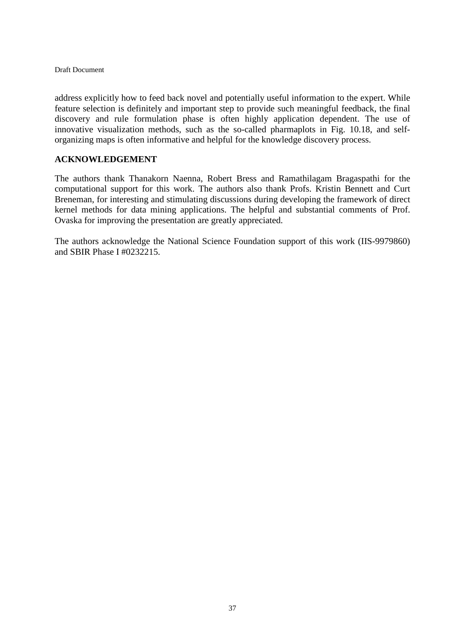address explicitly how to feed back novel and potentially useful information to the expert. While feature selection is definitely and important step to provide such meaningful feedback, the final discovery and rule formulation phase is often highly application dependent. The use of innovative visualization methods, such as the so-called pharmaplots in Fig. 10.18, and selforganizing maps is often informative and helpful for the knowledge discovery process.

# **ACKNOWLEDGEMENT**

The authors thank Thanakorn Naenna, Robert Bress and Ramathilagam Bragaspathi for the computational support for this work. The authors also thank Profs. Kristin Bennett and Curt Breneman, for interesting and stimulating discussions during developing the framework of direct kernel methods for data mining applications. The helpful and substantial comments of Prof. Ovaska for improving the presentation are greatly appreciated.

The authors acknowledge the National Science Foundation support of this work (IIS-9979860) and SBIR Phase I #0232215.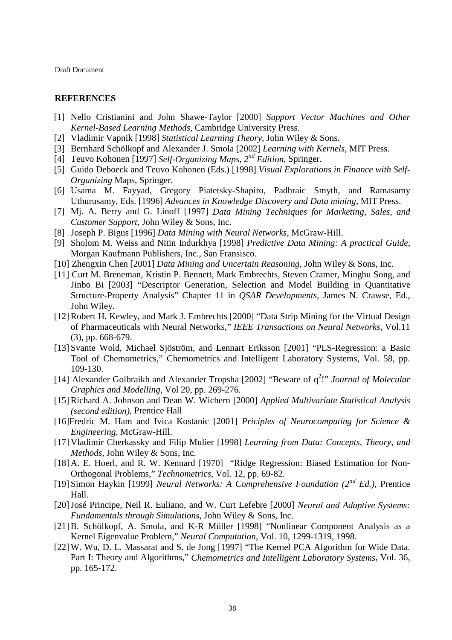### **REFERENCES**

- [1] Nello Cristianini and John Shawe-Taylor [2000] *Support Vector Machines and Other Kernel-Based Learning Methods*, Cambridge University Press.
- [2] Vladimir Vapnik [1998] *Statistical Learning Theory*, John Wiley & Sons.
- [3] Bernhard Schölkopf and Alexander J. Smola [2002] *Learning with Kernels*, MIT Press.
- [4] Teuvo Kohonen [1997] *Self-Organizing Maps, 2nd Edition*, Springer.
- [5] Guido Deboeck and Teuvo Kohonen (Eds.) [1998] *Visual Explorations in Finance with Self-Organizing* Maps, Springer.
- [6] Usama M. Fayyad, Gregory Piatetsky-Shapiro, Padhraic Smyth, and Ramasamy Uthurusamy, Eds. [1996] *Advances in Knowledge Discovery and Data mining*, MIT Press.
- [7] Mj. A. Berry and G. Linoff [1997] *Data Mining Techniques for Marketing, Sales, and Customer Support*, John Wiley & Sons, Inc.
- [8] Joseph P. Bigus [1996] *Data Mining with Neural Networks*, McGraw-Hill.
- [9] Sholom M. Weiss and Nitin Indurkhya [1998] *Predictive Data Mining: A practical Guide*, Morgan Kaufmann Publishers, Inc., San Fransisco.
- [10] Zhengxin Chen [2001] *Data Mining and Uncertain Reasoning*, John Wiley & Sons, Inc.
- [11] Curt M. Breneman, Kristin P. Bennett, Mark Embrechts, Steven Cramer, Minghu Song, and Jinbo Bi [2003] "Descriptor Generation, Selection and Model Building in Quantitative Structure-Property Analysis" Chapter 11 in *QSAR Developments*, James N. Crawse, Ed., John Wiley.
- [12]Robert H. Kewley, and Mark J. Embrechts [2000] "Data Strip Mining for the Virtual Design of Pharmaceuticals with Neural Networks," *IEEE Transactions on Neural Networks*, Vol.11 (3), pp. 668-679.
- [13] Svante Wold, Michael Sjöström, and Lennart Eriksson [2001] "PLS-Regression: a Basic Tool of Chemometrics," Chemometrics and Intelligent Laboratory Systems, Vol. 58, pp. 109-130.
- [14] Alexander Golbraikh and Alexander Tropsha [2002] "Beware of q<sup>2</sup>!" *Journal of Molecular Graphics and Modelling*, Vol 20, pp. 269-276.
- [15]Richard A. Johnson and Dean W. Wichern [2000] *Applied Multivariate Statistical Analysis (second edition)*, Prentice Hall
- [16]Fredric M. Ham and Ivica Kostanic [2001] *Priciples of Neurocomputing for Science & Engineering*, McGraw-Hill.
- [17] Vladimir Cherkassky and Filip Mulier [1998] *Learning from Data: Concepts, Theory, and Methods*, John Wiley & Sons, Inc.
- [18] A. E. Hoerl, and R. W. Kennard [1970] "Ridge Regression: Biased Estimation for Non-Orthogonal Problems," *Technometrics*, Vol. 12, pp. 69-82.
- [19] Simon Haykin [1999] *Neural Networks: A Comprehensive Foundation (2<sup>nd</sup> Ed.)*, Prentice Hall.
- [20]José Principe, Neil R. Euliano, and W. Curt Lefebre [2000] *Neural and Adaptive Systems: Fundamentals through Simulations*, John Wiley & Sons, Inc.
- [21]B. Schölkopf, A. Smola, and K-R Müller [1998] "Nonlinear Component Analysis as a Kernel Eigenvalue Problem," *Neural Computation*, Vol. 10, 1299-1319, 1998.
- [22] W. Wu, D. L. Massarat and S. de Jong [1997] "The Kernel PCA Algorithm for Wide Data. Part I: Theory and Algorithms," *Chemometrics and Intelligent Laboratory Systems*, Vol. 36, pp. 165-172.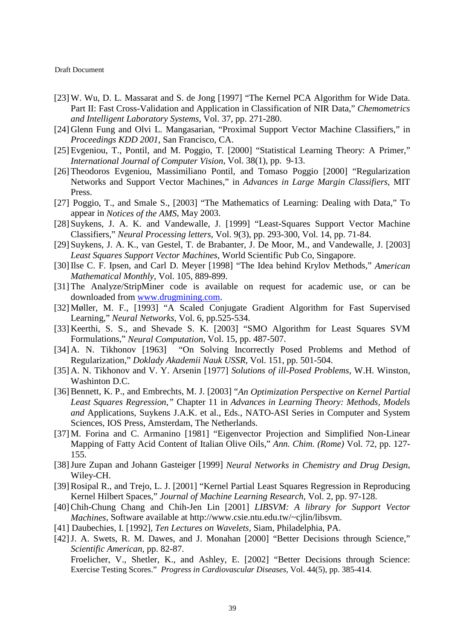- [23]W. Wu, D. L. Massarat and S. de Jong [1997] "The Kernel PCA Algorithm for Wide Data. Part II: Fast Cross-Validation and Application in Classification of NIR Data," *Chemometrics and Intelligent Laboratory Systems*, Vol. 37, pp. 271-280.
- [24] Glenn Fung and Olvi L. Mangasarian, "Proximal Support Vector Machine Classifiers," in *Proceedings KDD 2001*, San Francisco, CA.
- [25] Evgeniou, T., Pontil, and M. Poggio, T. [2000] "Statistical Learning Theory: A Primer," *International Journal of Computer Vision*, Vol. 38(1), pp. 9-13.
- [26] Theodoros Evgeniou, Massimiliano Pontil, and Tomaso Poggio [2000] "Regularization Networks and Support Vector Machines," in *Advances in Large Margin Classifiers*, MIT Press.
- [27] Poggio, T., and Smale S., [2003] "The Mathematics of Learning: Dealing with Data," To appear in *Notices of the AMS*, May 2003.
- [28] Suykens, J. A. K. and Vandewalle, J. [1999] "Least-Squares Support Vector Machine Classifiers," *Neural Processing letters*, Vol. 9(3), pp. 293-300, Vol. 14, pp. 71-84.
- [29] Suykens, J. A. K., van Gestel, T. de Brabanter, J. De Moor, M., and Vandewalle, J. [2003] *Least Squares Support Vector Machines*, World Scientific Pub Co, Singapore.
- [30]Ilse C. F. Ipsen, and Carl D. Meyer [1998] "The Idea behind Krylov Methods," *American Mathematical Monthly*, Vol. 105, 889-899.
- [31] The Analyze/StripMiner code is available on request for academic use, or can be downloaded from www.drugmining.com.
- [32] Møller, M. F., [1993] "A Scaled Conjugate Gradient Algorithm for Fast Supervised Learning," *Neural Networks*, Vol. 6, pp.525-534.
- [33] Keerthi, S. S., and Shevade S. K. [2003] "SMO Algorithm for Least Squares SVM Formulations," *Neural Computation*, Vol. 15, pp. 487-507.
- [34] A. N. Tikhonov [1963] "On Solving Incorrectly Posed Problems and Method of Regularization," *Doklady Akademii Nauk USSR*, Vol. 151, pp. 501-504.
- [35] A. N. Tikhonov and V. Y. Arsenin [1977] *Solutions of ill-Posed Problems*, W.H. Winston, Washinton D.C.
- [36]Bennett, K. P., and Embrechts, M. J. [2003] "*An Optimization Perspective on Kernel Partial Least Squares Regression,"* Chapter 11 in *Advances in Learning Theory: Methods, Models and* Applications, Suykens J.A.K. et al., Eds., NATO-ASI Series in Computer and System Sciences, IOS Press, Amsterdam, The Netherlands.
- [37] M. Forina and C. Armanino [1981] "Eigenvector Projection and Simplified Non-Linear Mapping of Fatty Acid Content of Italian Olive Oils," *Ann. Chim. (Rome)* Vol. 72, pp. 127- 155.
- [38]Jure Zupan and Johann Gasteiger [1999] *Neural Networks in Chemistry and Drug Design*, Wiley-CH.
- [39]Rosipal R., and Trejo, L. J. [2001] "Kernel Partial Least Squares Regression in Reproducing Kernel Hilbert Spaces," *Journal of Machine Learning Research*, Vol. 2, pp. 97-128.
- [40]Chih-Chung Chang and Chih-Jen Lin [2001] *LIBSVM: A library for Support Vector Machines*, Software available at http://www.csie.ntu.edu.tw/~cjlin/libsvm.
- [41] Daubechies, I. [1992], *Ten Lectures on Wavelets*, Siam, Philadelphia, PA.
- [42] J. A. Swets, R. M. Dawes, and J. Monahan [2000] "Better Decisions through Science," *Scientific American*, pp. 82-87. Froelicher, V., Shetler, K., and Ashley, E. [2002] "Better Decisions through Science: Exercise Testing Scores." *Progress in Cardiovascular Diseases*, Vol. 44(5), pp. 385-414.

39